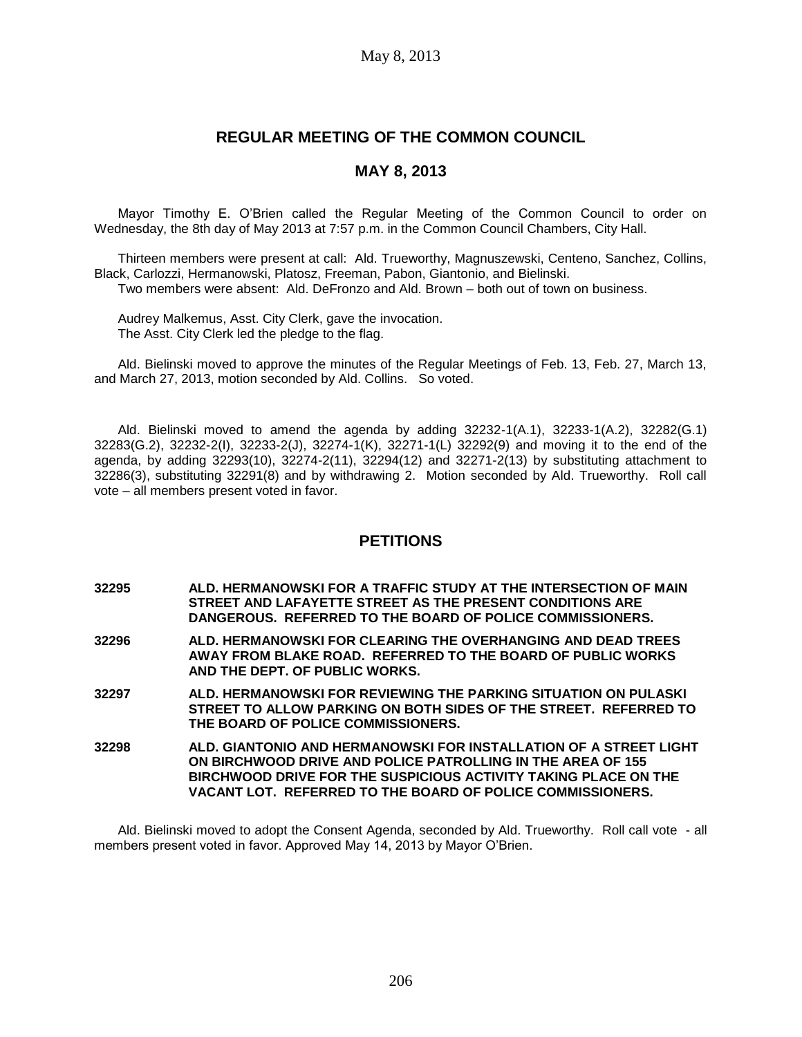# **REGULAR MEETING OF THE COMMON COUNCIL**

## **MAY 8, 2013**

Mayor Timothy E. O'Brien called the Regular Meeting of the Common Council to order on Wednesday, the 8th day of May 2013 at 7:57 p.m. in the Common Council Chambers, City Hall.

Thirteen members were present at call: Ald. Trueworthy, Magnuszewski, Centeno, Sanchez, Collins, Black, Carlozzi, Hermanowski, Platosz, Freeman, Pabon, Giantonio, and Bielinski.

Two members were absent: Ald. DeFronzo and Ald. Brown – both out of town on business.

Audrey Malkemus, Asst. City Clerk, gave the invocation. The Asst. City Clerk led the pledge to the flag.

Ald. Bielinski moved to approve the minutes of the Regular Meetings of Feb. 13, Feb. 27, March 13, and March 27, 2013, motion seconded by Ald. Collins. So voted.

Ald. Bielinski moved to amend the agenda by adding 32232-1(A.1), 32233-1(A.2), 32282(G.1) 32283(G.2), 32232-2(I), 32233-2(J), 32274-1(K), 32271-1(L) 32292(9) and moving it to the end of the agenda, by adding 32293(10), 32274-2(11), 32294(12) and 32271-2(13) by substituting attachment to 32286(3), substituting 32291(8) and by withdrawing 2. Motion seconded by Ald. Trueworthy. Roll call vote – all members present voted in favor.

### **PETITIONS**

- **32295 ALD. HERMANOWSKI FOR A TRAFFIC STUDY AT THE INTERSECTION OF MAIN STREET AND LAFAYETTE STREET AS THE PRESENT CONDITIONS ARE DANGEROUS. REFERRED TO THE BOARD OF POLICE COMMISSIONERS.**
- **32296 ALD. HERMANOWSKI FOR CLEARING THE OVERHANGING AND DEAD TREES AWAY FROM BLAKE ROAD. REFERRED TO THE BOARD OF PUBLIC WORKS AND THE DEPT. OF PUBLIC WORKS.**
- **32297 ALD. HERMANOWSKI FOR REVIEWING THE PARKING SITUATION ON PULASKI STREET TO ALLOW PARKING ON BOTH SIDES OF THE STREET. REFERRED TO THE BOARD OF POLICE COMMISSIONERS.**
- **32298 ALD. GIANTONIO AND HERMANOWSKI FOR INSTALLATION OF A STREET LIGHT ON BIRCHWOOD DRIVE AND POLICE PATROLLING IN THE AREA OF 155 BIRCHWOOD DRIVE FOR THE SUSPICIOUS ACTIVITY TAKING PLACE ON THE VACANT LOT. REFERRED TO THE BOARD OF POLICE COMMISSIONERS.**

Ald. Bielinski moved to adopt the Consent Agenda, seconded by Ald. Trueworthy. Roll call vote - all members present voted in favor. Approved May 14, 2013 by Mayor O'Brien.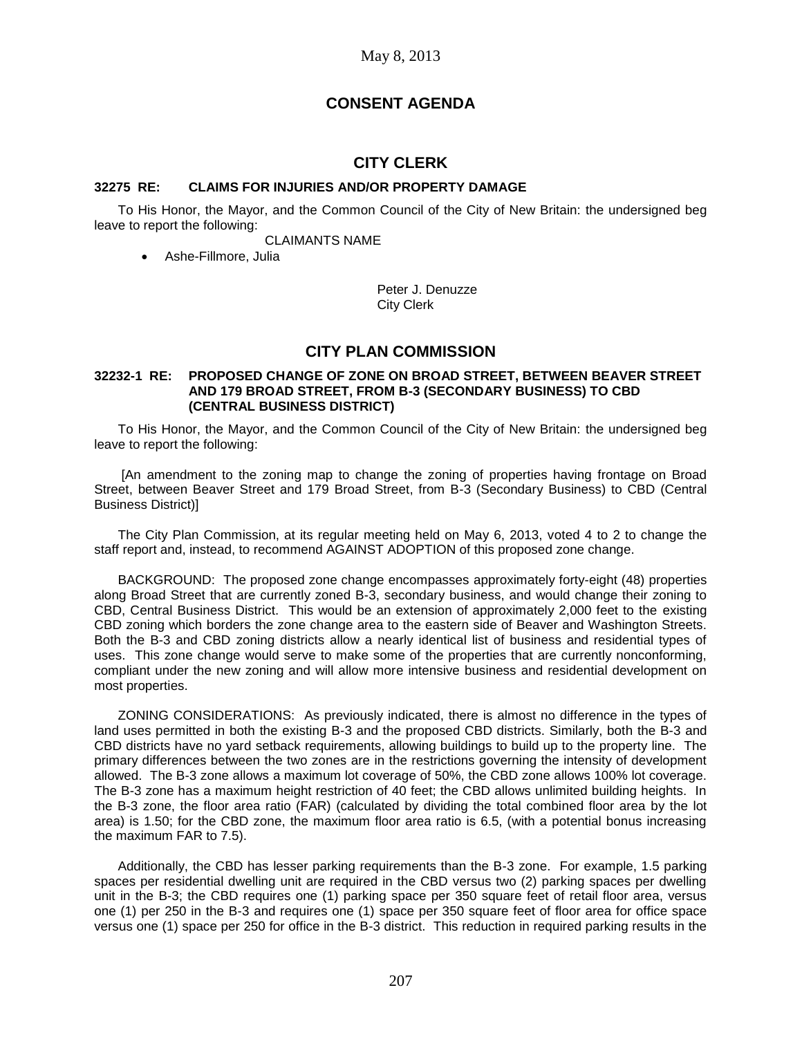# **CONSENT AGENDA**

## **CITY CLERK**

#### **32275 RE: CLAIMS FOR INJURIES AND/OR PROPERTY DAMAGE**

To His Honor, the Mayor, and the Common Council of the City of New Britain: the undersigned beg leave to report the following:

CLAIMANTS NAME

Ashe-Fillmore, Julia

Peter J. Denuzze City Clerk

### **CITY PLAN COMMISSION**

#### **32232-1 RE: PROPOSED CHANGE OF ZONE ON BROAD STREET, BETWEEN BEAVER STREET AND 179 BROAD STREET, FROM B-3 (SECONDARY BUSINESS) TO CBD (CENTRAL BUSINESS DISTRICT)**

To His Honor, the Mayor, and the Common Council of the City of New Britain: the undersigned beg leave to report the following:

[An amendment to the zoning map to change the zoning of properties having frontage on Broad Street, between Beaver Street and 179 Broad Street, from B-3 (Secondary Business) to CBD (Central Business District)]

The City Plan Commission, at its regular meeting held on May 6, 2013, voted 4 to 2 to change the staff report and, instead, to recommend AGAINST ADOPTION of this proposed zone change.

BACKGROUND: The proposed zone change encompasses approximately forty-eight (48) properties along Broad Street that are currently zoned B-3, secondary business, and would change their zoning to CBD, Central Business District. This would be an extension of approximately 2,000 feet to the existing CBD zoning which borders the zone change area to the eastern side of Beaver and Washington Streets. Both the B-3 and CBD zoning districts allow a nearly identical list of business and residential types of uses. This zone change would serve to make some of the properties that are currently nonconforming, compliant under the new zoning and will allow more intensive business and residential development on most properties.

ZONING CONSIDERATIONS: As previously indicated, there is almost no difference in the types of land uses permitted in both the existing B-3 and the proposed CBD districts. Similarly, both the B-3 and CBD districts have no yard setback requirements, allowing buildings to build up to the property line. The primary differences between the two zones are in the restrictions governing the intensity of development allowed. The B-3 zone allows a maximum lot coverage of 50%, the CBD zone allows 100% lot coverage. The B-3 zone has a maximum height restriction of 40 feet; the CBD allows unlimited building heights. In the B-3 zone, the floor area ratio (FAR) (calculated by dividing the total combined floor area by the lot area) is 1.50; for the CBD zone, the maximum floor area ratio is 6.5, (with a potential bonus increasing the maximum FAR to 7.5).

Additionally, the CBD has lesser parking requirements than the B-3 zone. For example, 1.5 parking spaces per residential dwelling unit are required in the CBD versus two (2) parking spaces per dwelling unit in the B-3; the CBD requires one (1) parking space per 350 square feet of retail floor area, versus one (1) per 250 in the B-3 and requires one (1) space per 350 square feet of floor area for office space versus one (1) space per 250 for office in the B-3 district. This reduction in required parking results in the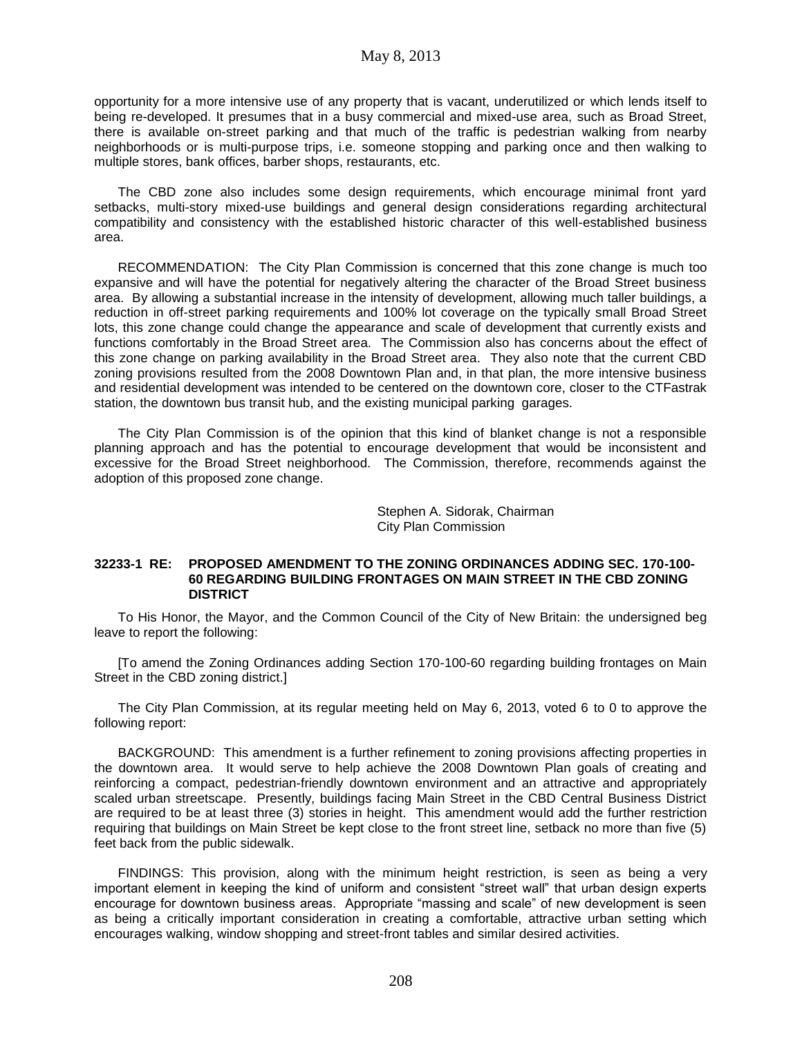opportunity for a more intensive use of any property that is vacant, underutilized or which lends itself to being re-developed. It presumes that in a busy commercial and mixed-use area, such as Broad Street, there is available on-street parking and that much of the traffic is pedestrian walking from nearby neighborhoods or is multi-purpose trips, i.e. someone stopping and parking once and then walking to multiple stores, bank offices, barber shops, restaurants, etc.

The CBD zone also includes some design requirements, which encourage minimal front yard setbacks, multi-story mixed-use buildings and general design considerations regarding architectural compatibility and consistency with the established historic character of this well-established business area.

RECOMMENDATION: The City Plan Commission is concerned that this zone change is much too expansive and will have the potential for negatively altering the character of the Broad Street business area. By allowing a substantial increase in the intensity of development, allowing much taller buildings, a reduction in off-street parking requirements and 100% lot coverage on the typically small Broad Street lots, this zone change could change the appearance and scale of development that currently exists and functions comfortably in the Broad Street area. The Commission also has concerns about the effect of this zone change on parking availability in the Broad Street area. They also note that the current CBD zoning provisions resulted from the 2008 Downtown Plan and, in that plan, the more intensive business and residential development was intended to be centered on the downtown core, closer to the CTFastrak station, the downtown bus transit hub, and the existing municipal parking garages.

The City Plan Commission is of the opinion that this kind of blanket change is not a responsible planning approach and has the potential to encourage development that would be inconsistent and excessive for the Broad Street neighborhood. The Commission, therefore, recommends against the adoption of this proposed zone change.

> Stephen A. Sidorak, Chairman City Plan Commission

#### **32233-1 RE: PROPOSED AMENDMENT TO THE ZONING ORDINANCES ADDING SEC. 170-100- 60 REGARDING BUILDING FRONTAGES ON MAIN STREET IN THE CBD ZONING DISTRICT**

To His Honor, the Mayor, and the Common Council of the City of New Britain: the undersigned beg leave to report the following:

[To amend the Zoning Ordinances adding Section 170-100-60 regarding building frontages on Main Street in the CBD zoning district.]

The City Plan Commission, at its regular meeting held on May 6, 2013, voted 6 to 0 to approve the following report:

BACKGROUND: This amendment is a further refinement to zoning provisions affecting properties in the downtown area. It would serve to help achieve the 2008 Downtown Plan goals of creating and reinforcing a compact, pedestrian-friendly downtown environment and an attractive and appropriately scaled urban streetscape. Presently, buildings facing Main Street in the CBD Central Business District are required to be at least three (3) stories in height. This amendment would add the further restriction requiring that buildings on Main Street be kept close to the front street line, setback no more than five (5) feet back from the public sidewalk.

FINDINGS: This provision, along with the minimum height restriction, is seen as being a very important element in keeping the kind of uniform and consistent "street wall" that urban design experts encourage for downtown business areas. Appropriate "massing and scale" of new development is seen as being a critically important consideration in creating a comfortable, attractive urban setting which encourages walking, window shopping and street-front tables and similar desired activities.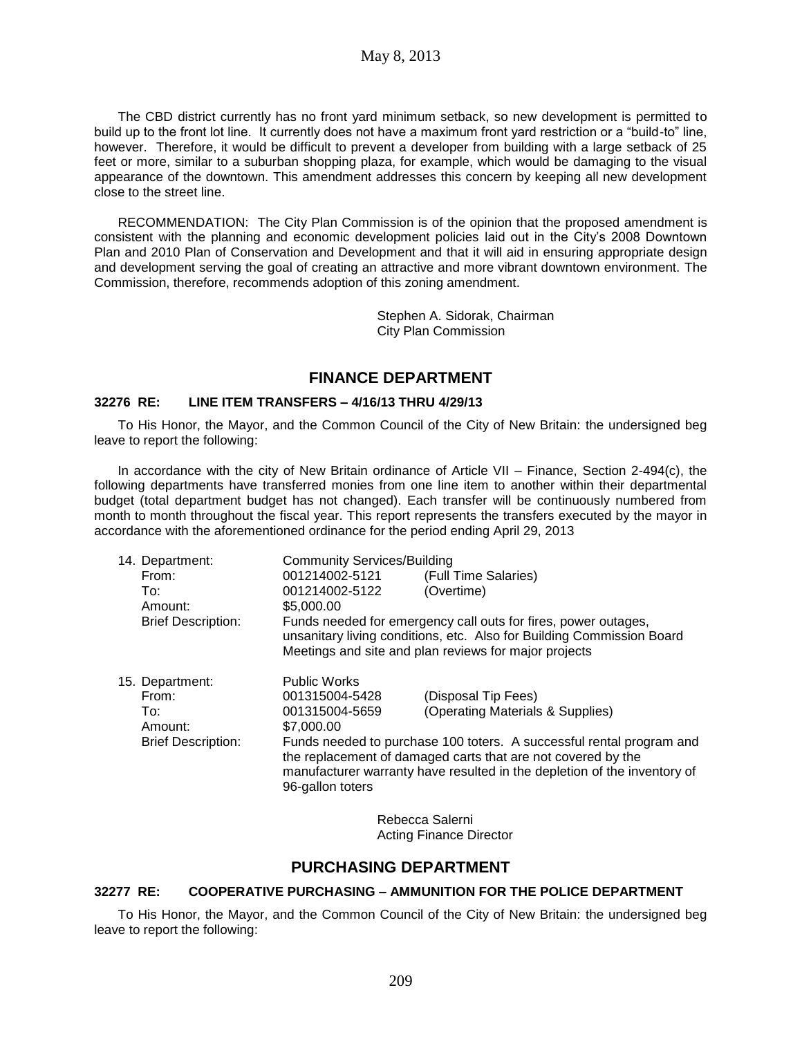The CBD district currently has no front yard minimum setback, so new development is permitted to build up to the front lot line. It currently does not have a maximum front yard restriction or a "build-to" line, however. Therefore, it would be difficult to prevent a developer from building with a large setback of 25 feet or more, similar to a suburban shopping plaza, for example, which would be damaging to the visual appearance of the downtown. This amendment addresses this concern by keeping all new development close to the street line.

RECOMMENDATION: The City Plan Commission is of the opinion that the proposed amendment is consistent with the planning and economic development policies laid out in the City's 2008 Downtown Plan and 2010 Plan of Conservation and Development and that it will aid in ensuring appropriate design and development serving the goal of creating an attractive and more vibrant downtown environment. The Commission, therefore, recommends adoption of this zoning amendment.

> Stephen A. Sidorak, Chairman City Plan Commission

### **FINANCE DEPARTMENT**

#### **32276 RE: LINE ITEM TRANSFERS – 4/16/13 THRU 4/29/13**

To His Honor, the Mayor, and the Common Council of the City of New Britain: the undersigned beg leave to report the following:

In accordance with the city of New Britain ordinance of Article VII – Finance, Section 2-494(c), the following departments have transferred monies from one line item to another within their departmental budget (total department budget has not changed). Each transfer will be continuously numbered from month to month throughout the fiscal year. This report represents the transfers executed by the mayor in accordance with the aforementioned ordinance for the period ending April 29, 2013

| 14. Department:           | <b>Community Services/Building</b>                                                                                                                                                                                                   |                                  |  |
|---------------------------|--------------------------------------------------------------------------------------------------------------------------------------------------------------------------------------------------------------------------------------|----------------------------------|--|
| From:                     | 001214002-5121                                                                                                                                                                                                                       | (Full Time Salaries)             |  |
| To:                       | 001214002-5122                                                                                                                                                                                                                       | (Overtime)                       |  |
| Amount:                   | \$5,000.00                                                                                                                                                                                                                           |                                  |  |
| <b>Brief Description:</b> | Funds needed for emergency call outs for fires, power outages,<br>unsanitary living conditions, etc. Also for Building Commission Board<br>Meetings and site and plan reviews for major projects                                     |                                  |  |
| 15. Department:           | <b>Public Works</b>                                                                                                                                                                                                                  |                                  |  |
| From:                     | 001315004-5428                                                                                                                                                                                                                       | (Disposal Tip Fees)              |  |
| To:                       | 001315004-5659                                                                                                                                                                                                                       | (Operating Materials & Supplies) |  |
| Amount:                   | \$7,000.00                                                                                                                                                                                                                           |                                  |  |
| <b>Brief Description:</b> | Funds needed to purchase 100 toters. A successful rental program and<br>the replacement of damaged carts that are not covered by the<br>manufacturer warranty have resulted in the depletion of the inventory of<br>96-gallon toters |                                  |  |

Rebecca Salerni Acting Finance Director

### **PURCHASING DEPARTMENT**

### **32277 RE: COOPERATIVE PURCHASING – AMMUNITION FOR THE POLICE DEPARTMENT**

To His Honor, the Mayor, and the Common Council of the City of New Britain: the undersigned beg leave to report the following: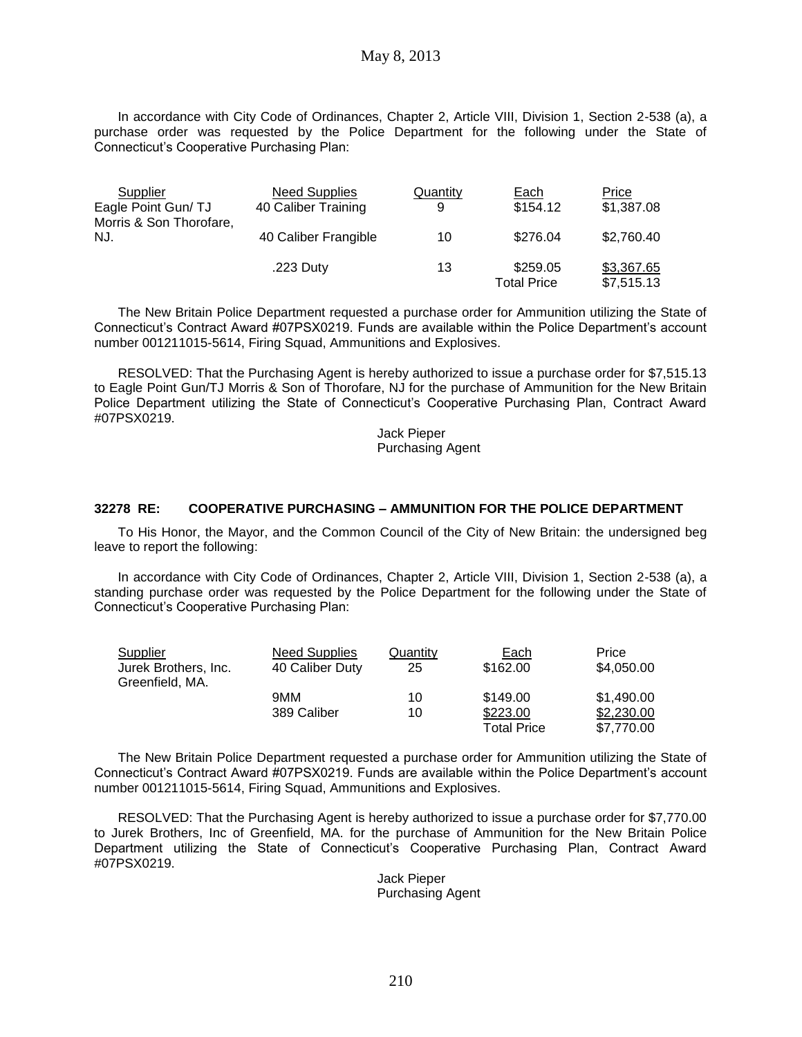In accordance with City Code of Ordinances, Chapter 2, Article VIII, Division 1, Section 2-538 (a), a purchase order was requested by the Police Department for the following under the State of Connecticut's Cooperative Purchasing Plan:

| Supplier<br>Eagle Point Gun/TJ | Need Supplies<br>40 Caliber Training | Quantity<br>9 | Each<br>\$154.12               | Price<br>\$1,387.08      |
|--------------------------------|--------------------------------------|---------------|--------------------------------|--------------------------|
| Morris & Son Thorofare,<br>NJ. | 40 Caliber Frangible                 | 10            | \$276.04                       | \$2,760.40               |
|                                | .223 Duty                            | 13            | \$259.05<br><b>Total Price</b> | \$3,367.65<br>\$7,515.13 |

The New Britain Police Department requested a purchase order for Ammunition utilizing the State of Connecticut's Contract Award #07PSX0219. Funds are available within the Police Department's account number 001211015-5614, Firing Squad, Ammunitions and Explosives.

RESOLVED: That the Purchasing Agent is hereby authorized to issue a purchase order for \$7,515.13 to Eagle Point Gun/TJ Morris & Son of Thorofare, NJ for the purchase of Ammunition for the New Britain Police Department utilizing the State of Connecticut's Cooperative Purchasing Plan, Contract Award #07PSX0219.

> Jack Pieper Purchasing Agent

### **32278 RE: COOPERATIVE PURCHASING – AMMUNITION FOR THE POLICE DEPARTMENT**

To His Honor, the Mayor, and the Common Council of the City of New Britain: the undersigned beg leave to report the following:

In accordance with City Code of Ordinances, Chapter 2, Article VIII, Division 1, Section 2-538 (a), a standing purchase order was requested by the Police Department for the following under the State of Connecticut's Cooperative Purchasing Plan:

| <b>Supplier</b>      | <b>Need Supplies</b> | Quantity | Each               | Price      |
|----------------------|----------------------|----------|--------------------|------------|
| Jurek Brothers, Inc. | 40 Caliber Duty      | 25       | \$162.00           | \$4,050.00 |
| Greenfield, MA.      |                      |          |                    |            |
|                      | 9MM                  | 10       | \$149.00           | \$1,490.00 |
|                      | 389 Caliber          | 10       | \$223.00           | \$2,230.00 |
|                      |                      |          | <b>Total Price</b> | \$7,770.00 |

The New Britain Police Department requested a purchase order for Ammunition utilizing the State of Connecticut's Contract Award #07PSX0219. Funds are available within the Police Department's account number 001211015-5614, Firing Squad, Ammunitions and Explosives.

RESOLVED: That the Purchasing Agent is hereby authorized to issue a purchase order for \$7,770.00 to Jurek Brothers, Inc of Greenfield, MA. for the purchase of Ammunition for the New Britain Police Department utilizing the State of Connecticut's Cooperative Purchasing Plan, Contract Award #07PSX0219.

> Jack Pieper Purchasing Agent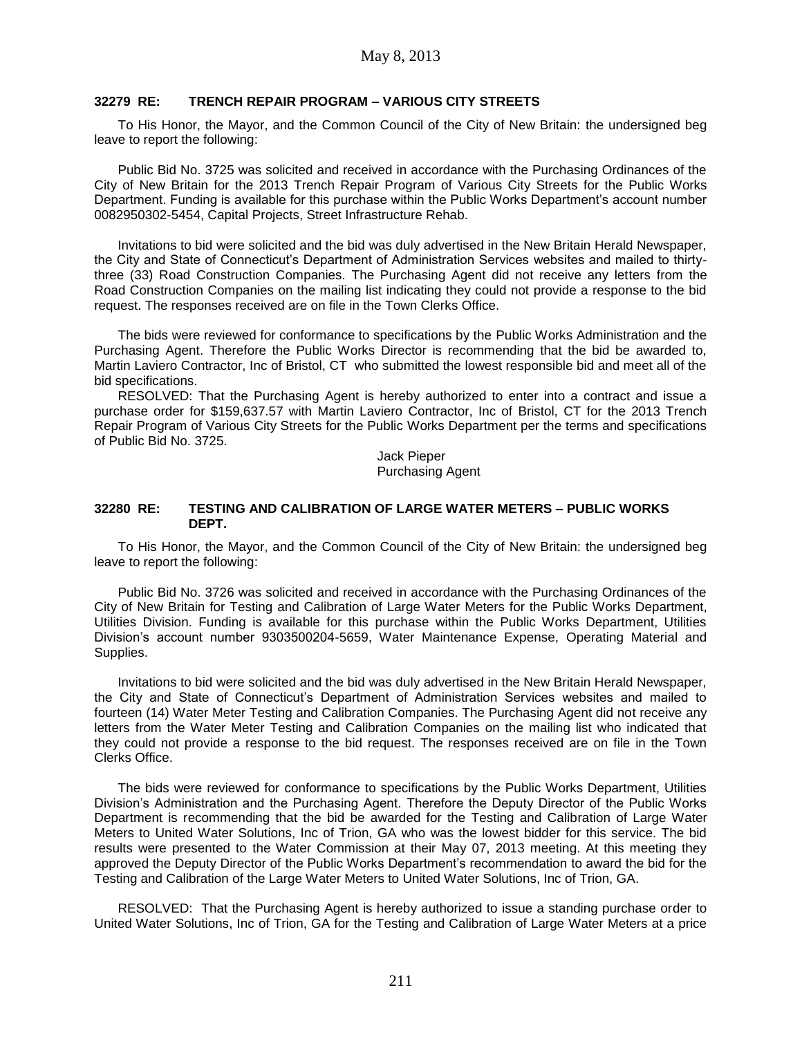### **32279 RE: TRENCH REPAIR PROGRAM – VARIOUS CITY STREETS**

To His Honor, the Mayor, and the Common Council of the City of New Britain: the undersigned beg leave to report the following:

Public Bid No. 3725 was solicited and received in accordance with the Purchasing Ordinances of the City of New Britain for the 2013 Trench Repair Program of Various City Streets for the Public Works Department. Funding is available for this purchase within the Public Works Department's account number 0082950302-5454, Capital Projects, Street Infrastructure Rehab.

Invitations to bid were solicited and the bid was duly advertised in the New Britain Herald Newspaper, the City and State of Connecticut's Department of Administration Services websites and mailed to thirtythree (33) Road Construction Companies. The Purchasing Agent did not receive any letters from the Road Construction Companies on the mailing list indicating they could not provide a response to the bid request. The responses received are on file in the Town Clerks Office.

The bids were reviewed for conformance to specifications by the Public Works Administration and the Purchasing Agent. Therefore the Public Works Director is recommending that the bid be awarded to, Martin Laviero Contractor, Inc of Bristol, CT who submitted the lowest responsible bid and meet all of the bid specifications.

RESOLVED: That the Purchasing Agent is hereby authorized to enter into a contract and issue a purchase order for \$159,637.57 with Martin Laviero Contractor, Inc of Bristol, CT for the 2013 Trench Repair Program of Various City Streets for the Public Works Department per the terms and specifications of Public Bid No. 3725.

> Jack Pieper Purchasing Agent

#### **32280 RE: TESTING AND CALIBRATION OF LARGE WATER METERS – PUBLIC WORKS DEPT.**

To His Honor, the Mayor, and the Common Council of the City of New Britain: the undersigned beg leave to report the following:

Public Bid No. 3726 was solicited and received in accordance with the Purchasing Ordinances of the City of New Britain for Testing and Calibration of Large Water Meters for the Public Works Department, Utilities Division. Funding is available for this purchase within the Public Works Department, Utilities Division's account number 9303500204-5659, Water Maintenance Expense, Operating Material and Supplies.

Invitations to bid were solicited and the bid was duly advertised in the New Britain Herald Newspaper, the City and State of Connecticut's Department of Administration Services websites and mailed to fourteen (14) Water Meter Testing and Calibration Companies. The Purchasing Agent did not receive any letters from the Water Meter Testing and Calibration Companies on the mailing list who indicated that they could not provide a response to the bid request. The responses received are on file in the Town Clerks Office.

The bids were reviewed for conformance to specifications by the Public Works Department, Utilities Division's Administration and the Purchasing Agent. Therefore the Deputy Director of the Public Works Department is recommending that the bid be awarded for the Testing and Calibration of Large Water Meters to United Water Solutions, Inc of Trion, GA who was the lowest bidder for this service. The bid results were presented to the Water Commission at their May 07, 2013 meeting. At this meeting they approved the Deputy Director of the Public Works Department's recommendation to award the bid for the Testing and Calibration of the Large Water Meters to United Water Solutions, Inc of Trion, GA.

RESOLVED: That the Purchasing Agent is hereby authorized to issue a standing purchase order to United Water Solutions, Inc of Trion, GA for the Testing and Calibration of Large Water Meters at a price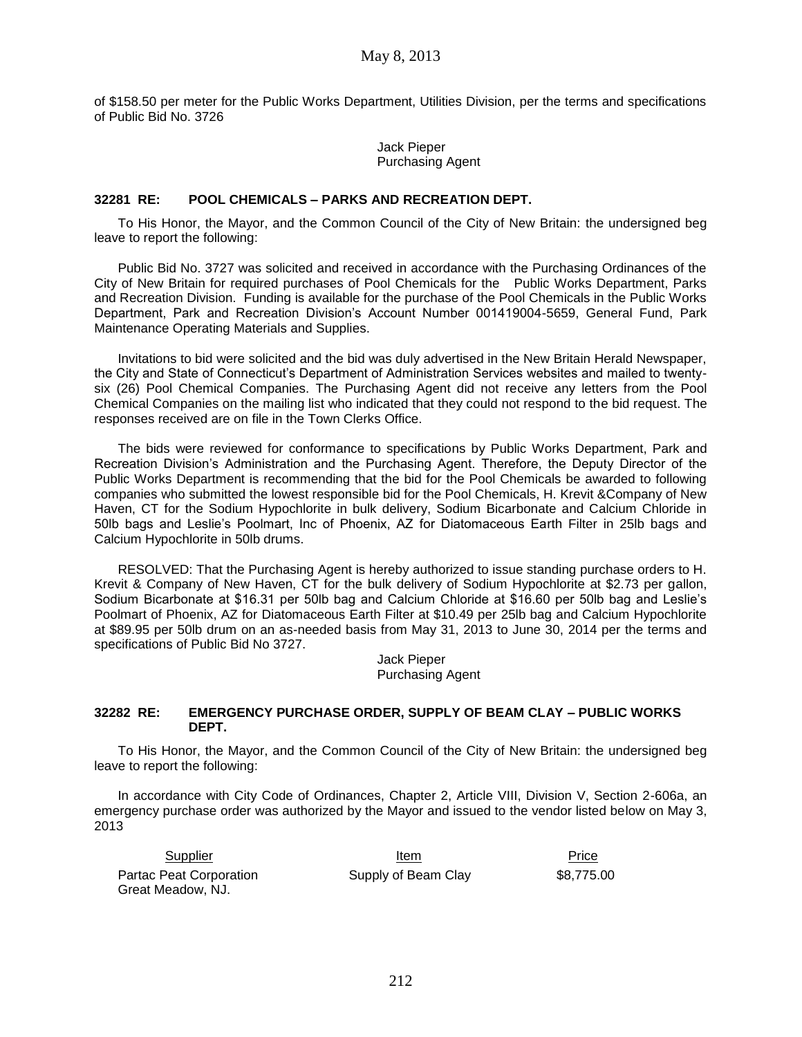of \$158.50 per meter for the Public Works Department, Utilities Division, per the terms and specifications of Public Bid No. 3726

> Jack Pieper Purchasing Agent

#### **32281 RE: POOL CHEMICALS – PARKS AND RECREATION DEPT.**

To His Honor, the Mayor, and the Common Council of the City of New Britain: the undersigned beg leave to report the following:

Public Bid No. 3727 was solicited and received in accordance with the Purchasing Ordinances of the City of New Britain for required purchases of Pool Chemicals for the Public Works Department, Parks and Recreation Division. Funding is available for the purchase of the Pool Chemicals in the Public Works Department, Park and Recreation Division's Account Number 001419004-5659, General Fund, Park Maintenance Operating Materials and Supplies.

Invitations to bid were solicited and the bid was duly advertised in the New Britain Herald Newspaper, the City and State of Connecticut's Department of Administration Services websites and mailed to twentysix (26) Pool Chemical Companies. The Purchasing Agent did not receive any letters from the Pool Chemical Companies on the mailing list who indicated that they could not respond to the bid request. The responses received are on file in the Town Clerks Office.

The bids were reviewed for conformance to specifications by Public Works Department, Park and Recreation Division's Administration and the Purchasing Agent. Therefore, the Deputy Director of the Public Works Department is recommending that the bid for the Pool Chemicals be awarded to following companies who submitted the lowest responsible bid for the Pool Chemicals, H. Krevit &Company of New Haven, CT for the Sodium Hypochlorite in bulk delivery, Sodium Bicarbonate and Calcium Chloride in 50lb bags and Leslie's Poolmart, Inc of Phoenix, AZ for Diatomaceous Earth Filter in 25lb bags and Calcium Hypochlorite in 50lb drums.

RESOLVED: That the Purchasing Agent is hereby authorized to issue standing purchase orders to H. Krevit & Company of New Haven, CT for the bulk delivery of Sodium Hypochlorite at \$2.73 per gallon, Sodium Bicarbonate at \$16.31 per 50lb bag and Calcium Chloride at \$16.60 per 50lb bag and Leslie's Poolmart of Phoenix, AZ for Diatomaceous Earth Filter at \$10.49 per 25lb bag and Calcium Hypochlorite at \$89.95 per 50lb drum on an as-needed basis from May 31, 2013 to June 30, 2014 per the terms and specifications of Public Bid No 3727.

> Jack Pieper Purchasing Agent

#### **32282 RE: EMERGENCY PURCHASE ORDER, SUPPLY OF BEAM CLAY – PUBLIC WORKS DEPT.**

To His Honor, the Mayor, and the Common Council of the City of New Britain: the undersigned beg leave to report the following:

In accordance with City Code of Ordinances, Chapter 2, Article VIII, Division V, Section 2-606a, an emergency purchase order was authorized by the Mayor and issued to the vendor listed below on May 3, 2013

| Supplier                | Item                | Price      |
|-------------------------|---------------------|------------|
| Partac Peat Corporation | Supply of Beam Clay | \$8.775.00 |
| Great Meadow, NJ.       |                     |            |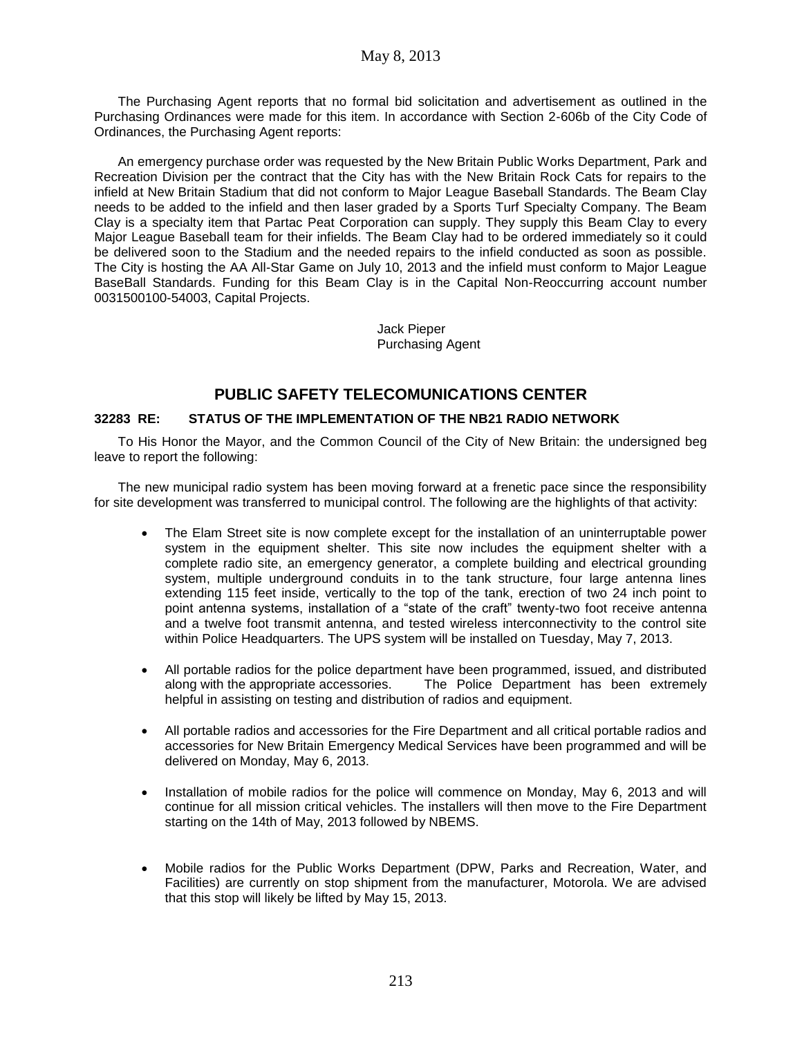The Purchasing Agent reports that no formal bid solicitation and advertisement as outlined in the Purchasing Ordinances were made for this item. In accordance with Section 2-606b of the City Code of Ordinances, the Purchasing Agent reports:

An emergency purchase order was requested by the New Britain Public Works Department, Park and Recreation Division per the contract that the City has with the New Britain Rock Cats for repairs to the infield at New Britain Stadium that did not conform to Major League Baseball Standards. The Beam Clay needs to be added to the infield and then laser graded by a Sports Turf Specialty Company. The Beam Clay is a specialty item that Partac Peat Corporation can supply. They supply this Beam Clay to every Major League Baseball team for their infields. The Beam Clay had to be ordered immediately so it could be delivered soon to the Stadium and the needed repairs to the infield conducted as soon as possible. The City is hosting the AA All-Star Game on July 10, 2013 and the infield must conform to Major League BaseBall Standards. Funding for this Beam Clay is in the Capital Non-Reoccurring account number 0031500100-54003, Capital Projects.

> Jack Pieper Purchasing Agent

# **PUBLIC SAFETY TELECOMUNICATIONS CENTER**

### **32283 RE: STATUS OF THE IMPLEMENTATION OF THE NB21 RADIO NETWORK**

To His Honor the Mayor, and the Common Council of the City of New Britain: the undersigned beg leave to report the following:

The new municipal radio system has been moving forward at a frenetic pace since the responsibility for site development was transferred to municipal control. The following are the highlights of that activity:

- The Elam Street site is now complete except for the installation of an uninterruptable power system in the equipment shelter. This site now includes the equipment shelter with a complete radio site, an emergency generator, a complete building and electrical grounding system, multiple underground conduits in to the tank structure, four large antenna lines extending 115 feet inside, vertically to the top of the tank, erection of two 24 inch point to point antenna systems, installation of a "state of the craft" twenty-two foot receive antenna and a twelve foot transmit antenna, and tested wireless interconnectivity to the control site within Police Headquarters. The UPS system will be installed on Tuesday, May 7, 2013.
- All portable radios for the police department have been programmed, issued, and distributed along with the appropriate accessories. The Police Department has been extremely helpful in assisting on testing and distribution of radios and equipment.
- All portable radios and accessories for the Fire Department and all critical portable radios and accessories for New Britain Emergency Medical Services have been programmed and will be delivered on Monday, May 6, 2013.
- Installation of mobile radios for the police will commence on Monday, May 6, 2013 and will continue for all mission critical vehicles. The installers will then move to the Fire Department starting on the 14th of May, 2013 followed by NBEMS.
- Mobile radios for the Public Works Department (DPW, Parks and Recreation, Water, and Facilities) are currently on stop shipment from the manufacturer, Motorola. We are advised that this stop will likely be lifted by May 15, 2013.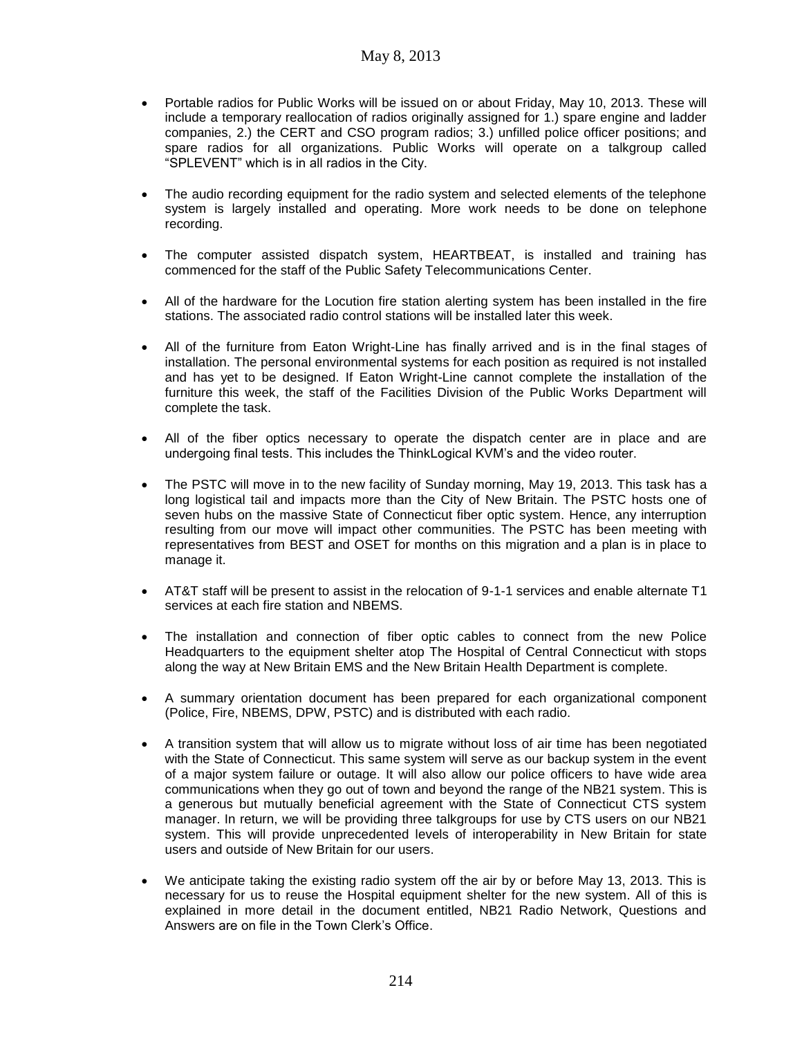- Portable radios for Public Works will be issued on or about Friday, May 10, 2013. These will include a temporary reallocation of radios originally assigned for 1.) spare engine and ladder companies, 2.) the CERT and CSO program radios; 3.) unfilled police officer positions; and spare radios for all organizations. Public Works will operate on a talkgroup called "SPLEVENT" which is in all radios in the City.
- The audio recording equipment for the radio system and selected elements of the telephone system is largely installed and operating. More work needs to be done on telephone recording.
- The computer assisted dispatch system, HEARTBEAT, is installed and training has commenced for the staff of the Public Safety Telecommunications Center.
- All of the hardware for the Locution fire station alerting system has been installed in the fire stations. The associated radio control stations will be installed later this week.
- All of the furniture from Eaton Wright-Line has finally arrived and is in the final stages of installation. The personal environmental systems for each position as required is not installed and has yet to be designed. If Eaton Wright-Line cannot complete the installation of the furniture this week, the staff of the Facilities Division of the Public Works Department will complete the task.
- All of the fiber optics necessary to operate the dispatch center are in place and are undergoing final tests. This includes the ThinkLogical KVM's and the video router.
- The PSTC will move in to the new facility of Sunday morning, May 19, 2013. This task has a long logistical tail and impacts more than the City of New Britain. The PSTC hosts one of seven hubs on the massive State of Connecticut fiber optic system. Hence, any interruption resulting from our move will impact other communities. The PSTC has been meeting with representatives from BEST and OSET for months on this migration and a plan is in place to manage it.
- AT&T staff will be present to assist in the relocation of 9-1-1 services and enable alternate T1 services at each fire station and NBEMS.
- The installation and connection of fiber optic cables to connect from the new Police Headquarters to the equipment shelter atop The Hospital of Central Connecticut with stops along the way at New Britain EMS and the New Britain Health Department is complete.
- A summary orientation document has been prepared for each organizational component (Police, Fire, NBEMS, DPW, PSTC) and is distributed with each radio.
- A transition system that will allow us to migrate without loss of air time has been negotiated with the State of Connecticut. This same system will serve as our backup system in the event of a major system failure or outage. It will also allow our police officers to have wide area communications when they go out of town and beyond the range of the NB21 system. This is a generous but mutually beneficial agreement with the State of Connecticut CTS system manager. In return, we will be providing three talkgroups for use by CTS users on our NB21 system. This will provide unprecedented levels of interoperability in New Britain for state users and outside of New Britain for our users.
- We anticipate taking the existing radio system off the air by or before May 13, 2013. This is necessary for us to reuse the Hospital equipment shelter for the new system. All of this is explained in more detail in the document entitled, NB21 Radio Network, Questions and Answers are on file in the Town Clerk's Office.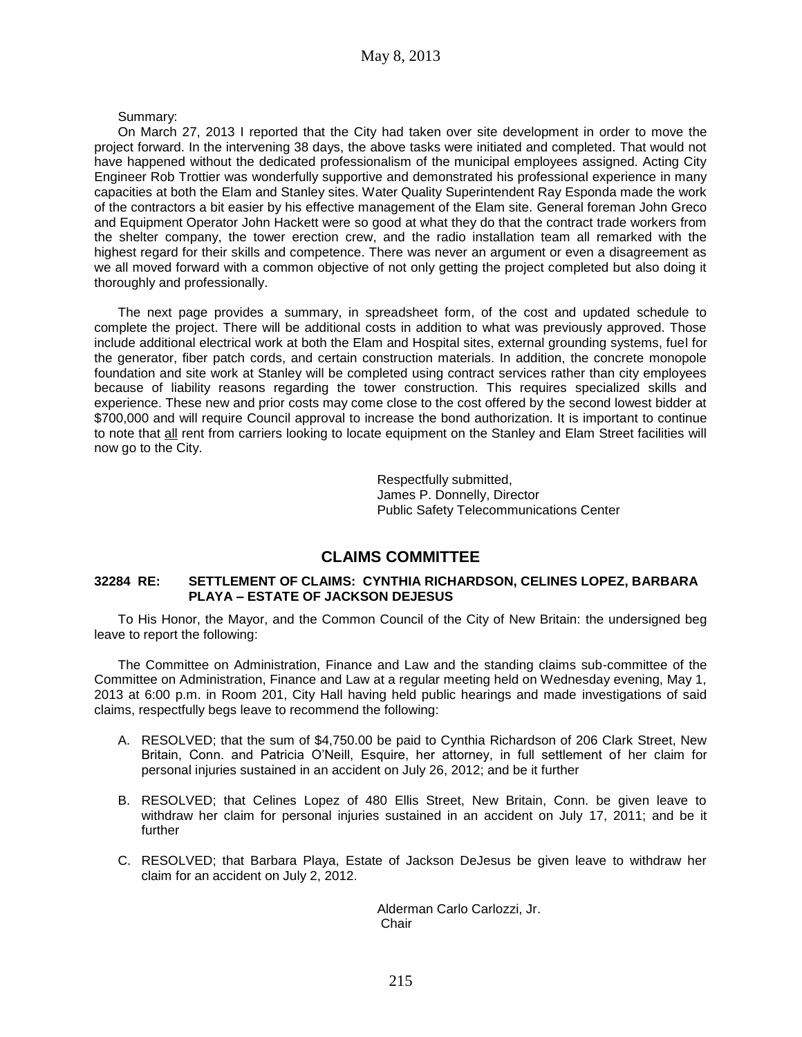#### Summary:

On March 27, 2013 I reported that the City had taken over site development in order to move the project forward. In the intervening 38 days, the above tasks were initiated and completed. That would not have happened without the dedicated professionalism of the municipal employees assigned. Acting City Engineer Rob Trottier was wonderfully supportive and demonstrated his professional experience in many capacities at both the Elam and Stanley sites. Water Quality Superintendent Ray Esponda made the work of the contractors a bit easier by his effective management of the Elam site. General foreman John Greco and Equipment Operator John Hackett were so good at what they do that the contract trade workers from the shelter company, the tower erection crew, and the radio installation team all remarked with the highest regard for their skills and competence. There was never an argument or even a disagreement as we all moved forward with a common objective of not only getting the project completed but also doing it thoroughly and professionally.

The next page provides a summary, in spreadsheet form, of the cost and updated schedule to complete the project. There will be additional costs in addition to what was previously approved. Those include additional electrical work at both the Elam and Hospital sites, external grounding systems, fuel for the generator, fiber patch cords, and certain construction materials. In addition, the concrete monopole foundation and site work at Stanley will be completed using contract services rather than city employees because of liability reasons regarding the tower construction. This requires specialized skills and experience. These new and prior costs may come close to the cost offered by the second lowest bidder at \$700,000 and will require Council approval to increase the bond authorization. It is important to continue to note that all rent from carriers looking to locate equipment on the Stanley and Elam Street facilities will now go to the City.

> Respectfully submitted, James P. Donnelly, Director Public Safety Telecommunications Center

## **CLAIMS COMMITTEE**

#### **32284 RE: SETTLEMENT OF CLAIMS: CYNTHIA RICHARDSON, CELINES LOPEZ, BARBARA PLAYA – ESTATE OF JACKSON DEJESUS**

To His Honor, the Mayor, and the Common Council of the City of New Britain: the undersigned beg leave to report the following:

The Committee on Administration, Finance and Law and the standing claims sub-committee of the Committee on Administration, Finance and Law at a regular meeting held on Wednesday evening, May 1, 2013 at 6:00 p.m. in Room 201, City Hall having held public hearings and made investigations of said claims, respectfully begs leave to recommend the following:

- A. RESOLVED; that the sum of \$4,750.00 be paid to Cynthia Richardson of 206 Clark Street, New Britain, Conn. and Patricia O'Neill, Esquire, her attorney, in full settlement of her claim for personal injuries sustained in an accident on July 26, 2012; and be it further
- B. RESOLVED; that Celines Lopez of 480 Ellis Street, New Britain, Conn. be given leave to withdraw her claim for personal injuries sustained in an accident on July 17, 2011; and be it further
- C. RESOLVED; that Barbara Playa, Estate of Jackson DeJesus be given leave to withdraw her claim for an accident on July 2, 2012.

Alderman Carlo Carlozzi, Jr. **Chair**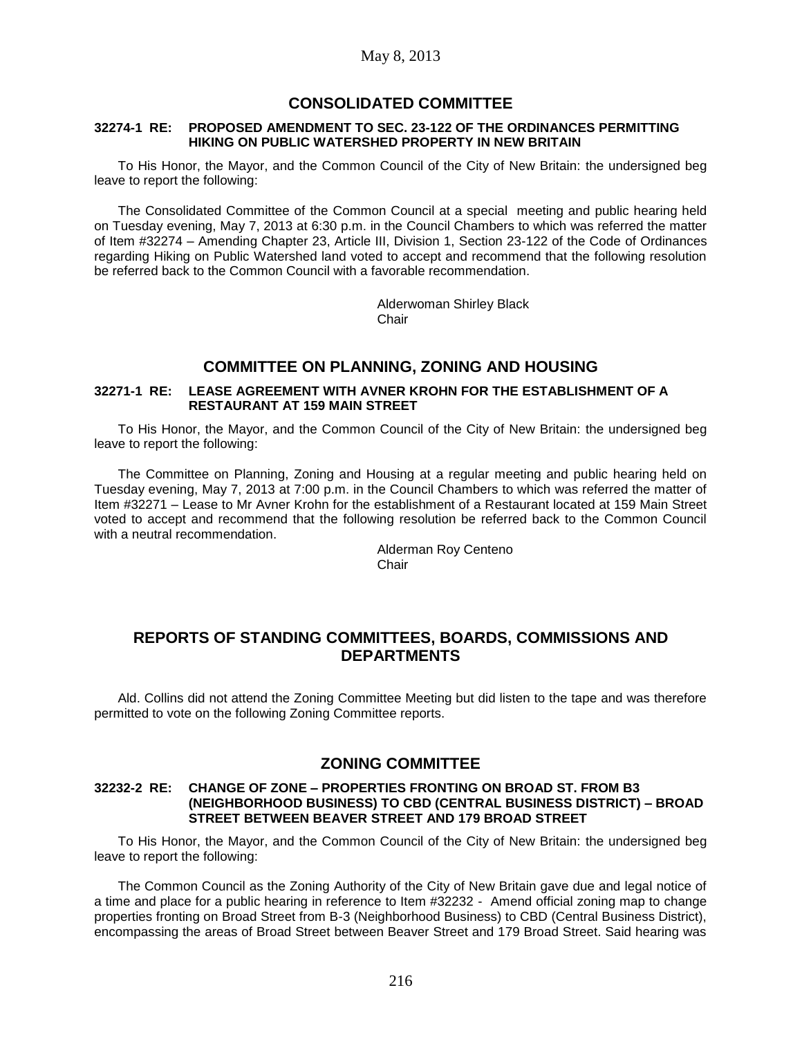## **CONSOLIDATED COMMITTEE**

#### **32274-1 RE: PROPOSED AMENDMENT TO SEC. 23-122 OF THE ORDINANCES PERMITTING HIKING ON PUBLIC WATERSHED PROPERTY IN NEW BRITAIN**

To His Honor, the Mayor, and the Common Council of the City of New Britain: the undersigned beg leave to report the following:

The Consolidated Committee of the Common Council at a special meeting and public hearing held on Tuesday evening, May 7, 2013 at 6:30 p.m. in the Council Chambers to which was referred the matter of Item #32274 – Amending Chapter 23, Article III, Division 1, Section 23-122 of the Code of Ordinances regarding Hiking on Public Watershed land voted to accept and recommend that the following resolution be referred back to the Common Council with a favorable recommendation.

> Alderwoman Shirley Black **Chair**

# **COMMITTEE ON PLANNING, ZONING AND HOUSING**

#### **32271-1 RE: LEASE AGREEMENT WITH AVNER KROHN FOR THE ESTABLISHMENT OF A RESTAURANT AT 159 MAIN STREET**

To His Honor, the Mayor, and the Common Council of the City of New Britain: the undersigned beg leave to report the following:

The Committee on Planning, Zoning and Housing at a regular meeting and public hearing held on Tuesday evening, May 7, 2013 at 7:00 p.m. in the Council Chambers to which was referred the matter of Item #32271 – Lease to Mr Avner Krohn for the establishment of a Restaurant located at 159 Main Street voted to accept and recommend that the following resolution be referred back to the Common Council with a neutral recommendation.

> Alderman Roy Centeno **Chair**

## **REPORTS OF STANDING COMMITTEES, BOARDS, COMMISSIONS AND DEPARTMENTS**

Ald. Collins did not attend the Zoning Committee Meeting but did listen to the tape and was therefore permitted to vote on the following Zoning Committee reports.

## **ZONING COMMITTEE**

#### **32232-2 RE: CHANGE OF ZONE – PROPERTIES FRONTING ON BROAD ST. FROM B3 (NEIGHBORHOOD BUSINESS) TO CBD (CENTRAL BUSINESS DISTRICT) – BROAD STREET BETWEEN BEAVER STREET AND 179 BROAD STREET**

To His Honor, the Mayor, and the Common Council of the City of New Britain: the undersigned beg leave to report the following:

The Common Council as the Zoning Authority of the City of New Britain gave due and legal notice of a time and place for a public hearing in reference to Item #32232 - Amend official zoning map to change properties fronting on Broad Street from B-3 (Neighborhood Business) to CBD (Central Business District), encompassing the areas of Broad Street between Beaver Street and 179 Broad Street. Said hearing was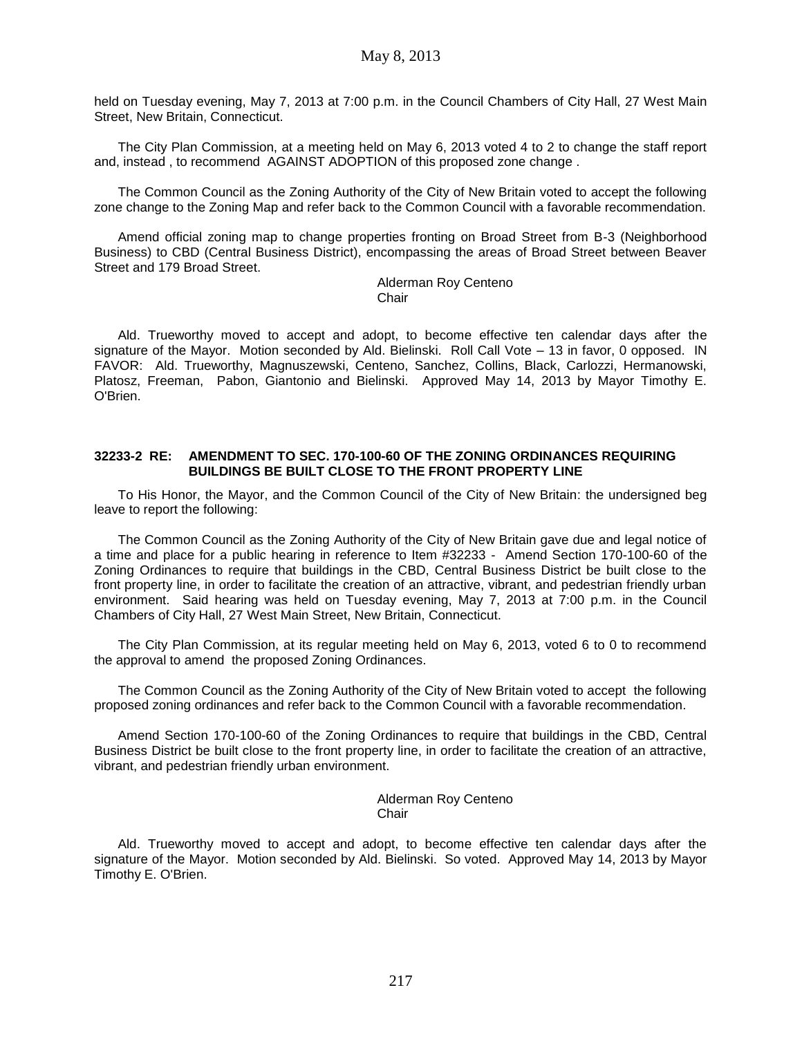held on Tuesday evening, May 7, 2013 at 7:00 p.m. in the Council Chambers of City Hall, 27 West Main Street, New Britain, Connecticut.

The City Plan Commission, at a meeting held on May 6, 2013 voted 4 to 2 to change the staff report and, instead , to recommend AGAINST ADOPTION of this proposed zone change .

The Common Council as the Zoning Authority of the City of New Britain voted to accept the following zone change to the Zoning Map and refer back to the Common Council with a favorable recommendation.

Amend official zoning map to change properties fronting on Broad Street from B-3 (Neighborhood Business) to CBD (Central Business District), encompassing the areas of Broad Street between Beaver Street and 179 Broad Street.

> Alderman Roy Centeno **Chair**

Ald. Trueworthy moved to accept and adopt, to become effective ten calendar days after the signature of the Mayor. Motion seconded by Ald. Bielinski. Roll Call Vote – 13 in favor, 0 opposed. IN FAVOR: Ald. Trueworthy, Magnuszewski, Centeno, Sanchez, Collins, Black, Carlozzi, Hermanowski, Platosz, Freeman, Pabon, Giantonio and Bielinski. Approved May 14, 2013 by Mayor Timothy E. O'Brien.

#### **32233-2 RE: AMENDMENT TO SEC. 170-100-60 OF THE ZONING ORDINANCES REQUIRING BUILDINGS BE BUILT CLOSE TO THE FRONT PROPERTY LINE**

To His Honor, the Mayor, and the Common Council of the City of New Britain: the undersigned beg leave to report the following:

The Common Council as the Zoning Authority of the City of New Britain gave due and legal notice of a time and place for a public hearing in reference to Item #32233 - Amend Section 170-100-60 of the Zoning Ordinances to require that buildings in the CBD, Central Business District be built close to the front property line, in order to facilitate the creation of an attractive, vibrant, and pedestrian friendly urban environment. Said hearing was held on Tuesday evening, May 7, 2013 at 7:00 p.m. in the Council Chambers of City Hall, 27 West Main Street, New Britain, Connecticut.

The City Plan Commission, at its regular meeting held on May 6, 2013, voted 6 to 0 to recommend the approval to amend the proposed Zoning Ordinances.

The Common Council as the Zoning Authority of the City of New Britain voted to accept the following proposed zoning ordinances and refer back to the Common Council with a favorable recommendation.

Amend Section 170-100-60 of the Zoning Ordinances to require that buildings in the CBD, Central Business District be built close to the front property line, in order to facilitate the creation of an attractive, vibrant, and pedestrian friendly urban environment.

> Alderman Roy Centeno Chair

Ald. Trueworthy moved to accept and adopt, to become effective ten calendar days after the signature of the Mayor. Motion seconded by Ald. Bielinski. So voted. Approved May 14, 2013 by Mayor Timothy E. O'Brien.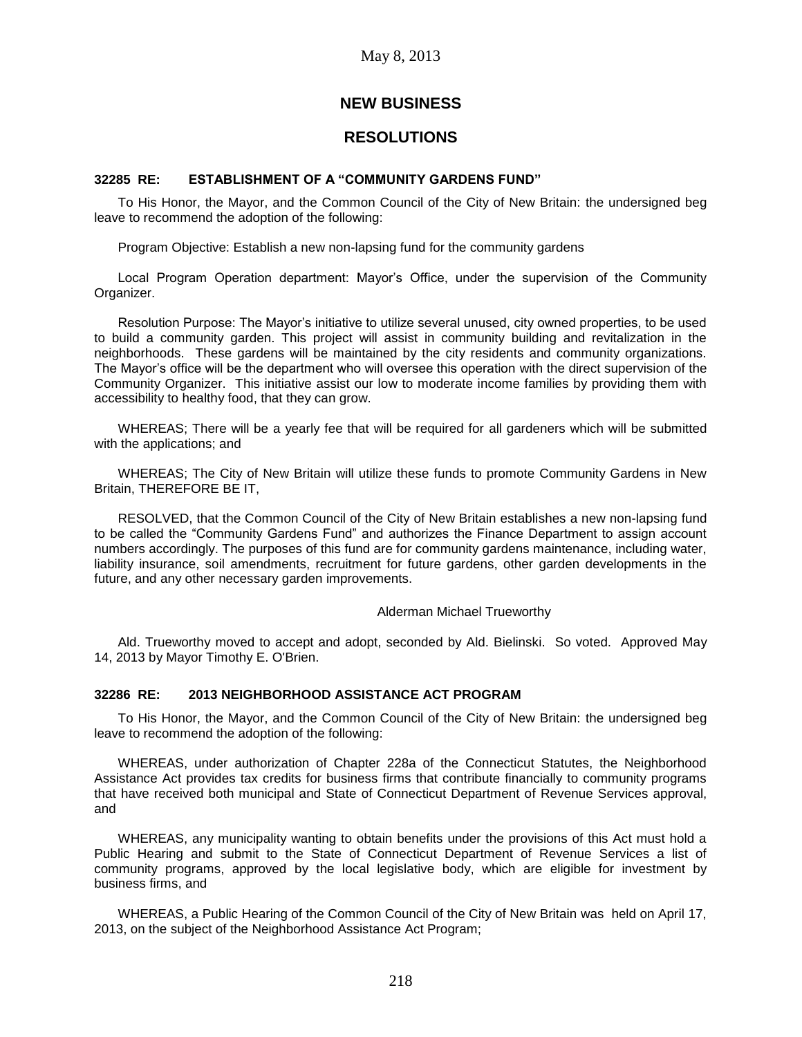# **NEW BUSINESS**

## **RESOLUTIONS**

#### **32285 RE: ESTABLISHMENT OF A "COMMUNITY GARDENS FUND"**

To His Honor, the Mayor, and the Common Council of the City of New Britain: the undersigned beg leave to recommend the adoption of the following:

Program Objective: Establish a new non-lapsing fund for the community gardens

Local Program Operation department: Mayor's Office, under the supervision of the Community Organizer.

Resolution Purpose: The Mayor's initiative to utilize several unused, city owned properties, to be used to build a community garden. This project will assist in community building and revitalization in the neighborhoods. These gardens will be maintained by the city residents and community organizations. The Mayor's office will be the department who will oversee this operation with the direct supervision of the Community Organizer. This initiative assist our low to moderate income families by providing them with accessibility to healthy food, that they can grow.

WHEREAS; There will be a yearly fee that will be required for all gardeners which will be submitted with the applications; and

WHEREAS; The City of New Britain will utilize these funds to promote Community Gardens in New Britain, THEREFORE BE IT,

RESOLVED, that the Common Council of the City of New Britain establishes a new non-lapsing fund to be called the "Community Gardens Fund" and authorizes the Finance Department to assign account numbers accordingly. The purposes of this fund are for community gardens maintenance, including water, liability insurance, soil amendments, recruitment for future gardens, other garden developments in the future, and any other necessary garden improvements.

#### Alderman Michael Trueworthy

Ald. Trueworthy moved to accept and adopt, seconded by Ald. Bielinski. So voted. Approved May 14, 2013 by Mayor Timothy E. O'Brien.

#### **32286 RE: 2013 NEIGHBORHOOD ASSISTANCE ACT PROGRAM**

To His Honor, the Mayor, and the Common Council of the City of New Britain: the undersigned beg leave to recommend the adoption of the following:

WHEREAS, under authorization of Chapter 228a of the Connecticut Statutes, the Neighborhood Assistance Act provides tax credits for business firms that contribute financially to community programs that have received both municipal and State of Connecticut Department of Revenue Services approval, and

WHEREAS, any municipality wanting to obtain benefits under the provisions of this Act must hold a Public Hearing and submit to the State of Connecticut Department of Revenue Services a list of community programs, approved by the local legislative body, which are eligible for investment by business firms, and

WHEREAS, a Public Hearing of the Common Council of the City of New Britain was held on April 17, 2013, on the subject of the Neighborhood Assistance Act Program;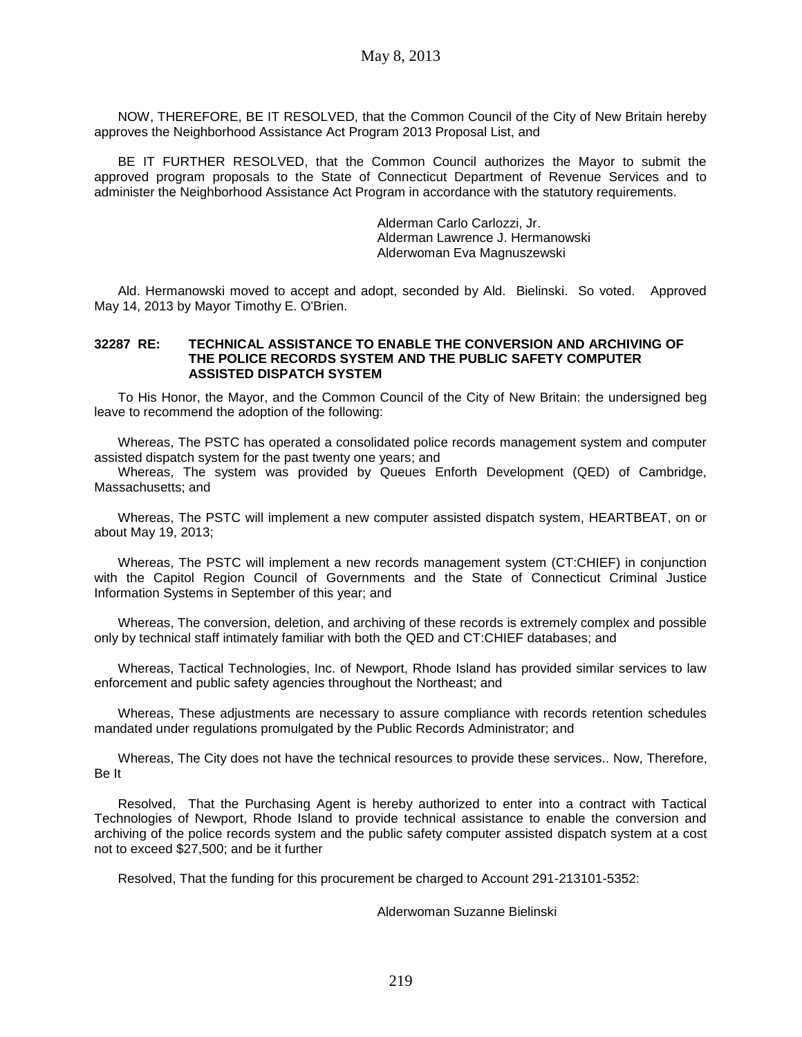NOW, THEREFORE, BE IT RESOLVED, that the Common Council of the City of New Britain hereby approves the Neighborhood Assistance Act Program 2013 Proposal List, and

BE IT FURTHER RESOLVED, that the Common Council authorizes the Mayor to submit the approved program proposals to the State of Connecticut Department of Revenue Services and to administer the Neighborhood Assistance Act Program in accordance with the statutory requirements.

> Alderman Carlo Carlozzi, Jr. Alderman Lawrence J. Hermanowski Alderwoman Eva Magnuszewski

Ald. Hermanowski moved to accept and adopt, seconded by Ald. Bielinski. So voted. Approved May 14, 2013 by Mayor Timothy E. O'Brien.

#### **32287 RE: TECHNICAL ASSISTANCE TO ENABLE THE CONVERSION AND ARCHIVING OF THE POLICE RECORDS SYSTEM AND THE PUBLIC SAFETY COMPUTER ASSISTED DISPATCH SYSTEM**

To His Honor, the Mayor, and the Common Council of the City of New Britain: the undersigned beg leave to recommend the adoption of the following:

Whereas, The PSTC has operated a consolidated police records management system and computer assisted dispatch system for the past twenty one years; and

Whereas, The system was provided by Queues Enforth Development (QED) of Cambridge, Massachusetts; and

Whereas, The PSTC will implement a new computer assisted dispatch system, HEARTBEAT, on or about May 19, 2013;

Whereas, The PSTC will implement a new records management system (CT:CHIEF) in conjunction with the Capitol Region Council of Governments and the State of Connecticut Criminal Justice Information Systems in September of this year; and

Whereas, The conversion, deletion, and archiving of these records is extremely complex and possible only by technical staff intimately familiar with both the QED and CT:CHIEF databases; and

Whereas, Tactical Technologies, Inc. of Newport, Rhode Island has provided similar services to law enforcement and public safety agencies throughout the Northeast; and

Whereas, These adjustments are necessary to assure compliance with records retention schedules mandated under regulations promulgated by the Public Records Administrator; and

Whereas, The City does not have the technical resources to provide these services.. Now, Therefore, Be It

Resolved, That the Purchasing Agent is hereby authorized to enter into a contract with Tactical Technologies of Newport, Rhode Island to provide technical assistance to enable the conversion and archiving of the police records system and the public safety computer assisted dispatch system at a cost not to exceed \$27,500; and be it further

Resolved, That the funding for this procurement be charged to Account 291-213101-5352:

Alderwoman Suzanne Bielinski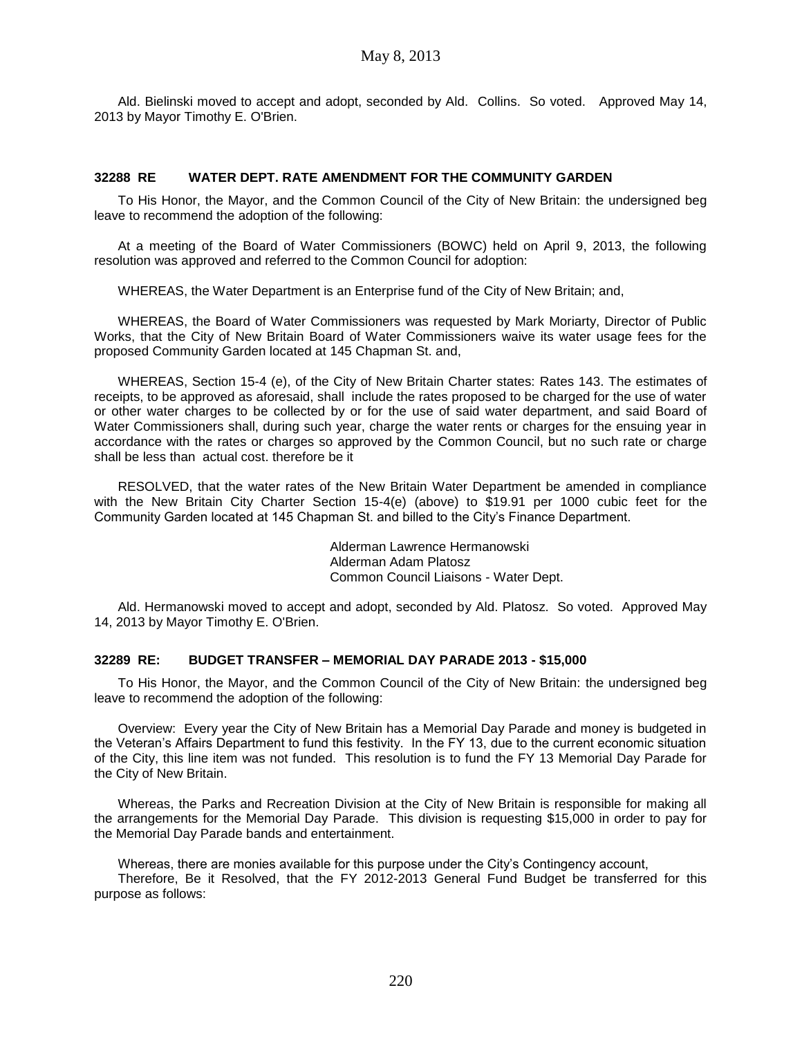Ald. Bielinski moved to accept and adopt, seconded by Ald. Collins. So voted. Approved May 14, 2013 by Mayor Timothy E. O'Brien.

#### **32288 RE WATER DEPT. RATE AMENDMENT FOR THE COMMUNITY GARDEN**

To His Honor, the Mayor, and the Common Council of the City of New Britain: the undersigned beg leave to recommend the adoption of the following:

At a meeting of the Board of Water Commissioners (BOWC) held on April 9, 2013, the following resolution was approved and referred to the Common Council for adoption:

WHEREAS, the Water Department is an Enterprise fund of the City of New Britain; and,

WHEREAS, the Board of Water Commissioners was requested by Mark Moriarty, Director of Public Works, that the City of New Britain Board of Water Commissioners waive its water usage fees for the proposed Community Garden located at 145 Chapman St. and,

WHEREAS, Section 15-4 (e), of the City of New Britain Charter states: Rates 143. The estimates of receipts, to be approved as aforesaid, shall include the rates proposed to be charged for the use of water or other water charges to be collected by or for the use of said water department, and said Board of Water Commissioners shall, during such year, charge the water rents or charges for the ensuing year in accordance with the rates or charges so approved by the Common Council, but no such rate or charge shall be less than actual cost. therefore be it

RESOLVED, that the water rates of the New Britain Water Department be amended in compliance with the New Britain City Charter Section 15-4(e) (above) to \$19.91 per 1000 cubic feet for the Community Garden located at 145 Chapman St. and billed to the City's Finance Department.

> Alderman Lawrence Hermanowski Alderman Adam Platosz Common Council Liaisons - Water Dept.

Ald. Hermanowski moved to accept and adopt, seconded by Ald. Platosz. So voted. Approved May 14, 2013 by Mayor Timothy E. O'Brien.

### **32289 RE: BUDGET TRANSFER – MEMORIAL DAY PARADE 2013 - \$15,000**

To His Honor, the Mayor, and the Common Council of the City of New Britain: the undersigned beg leave to recommend the adoption of the following:

Overview: Every year the City of New Britain has a Memorial Day Parade and money is budgeted in the Veteran's Affairs Department to fund this festivity. In the FY 13, due to the current economic situation of the City, this line item was not funded. This resolution is to fund the FY 13 Memorial Day Parade for the City of New Britain.

Whereas, the Parks and Recreation Division at the City of New Britain is responsible for making all the arrangements for the Memorial Day Parade. This division is requesting \$15,000 in order to pay for the Memorial Day Parade bands and entertainment.

Whereas, there are monies available for this purpose under the City's Contingency account,

Therefore, Be it Resolved, that the FY 2012-2013 General Fund Budget be transferred for this purpose as follows: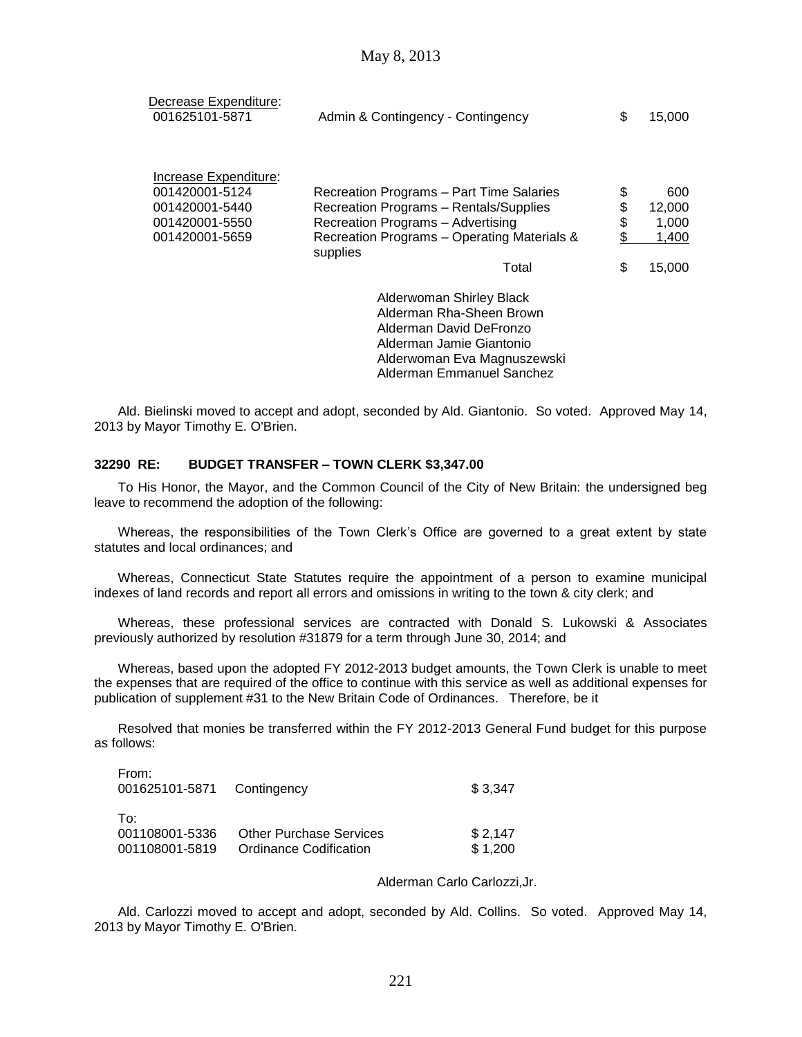| Decrease Expenditure:<br>001625101-5871                                                       | Admin & Contingency - Contingency                                                                                                                                                           | S                   | 15,000                                    |
|-----------------------------------------------------------------------------------------------|---------------------------------------------------------------------------------------------------------------------------------------------------------------------------------------------|---------------------|-------------------------------------------|
| Increase Expenditure:<br>001420001-5124<br>001420001-5440<br>001420001-5550<br>001420001-5659 | Recreation Programs - Part Time Salaries<br>Recreation Programs - Rentals/Supplies<br>Recreation Programs - Advertising<br>Recreation Programs - Operating Materials &<br>supplies<br>Total | \$<br>\$<br>\$<br>S | 600<br>12,000<br>1,000<br>1,400<br>15,000 |

Alderwoman Shirley Black Alderman Rha-Sheen Brown Alderman David DeFronzo Alderman Jamie Giantonio Alderwoman Eva Magnuszewski Alderman Emmanuel Sanchez

Ald. Bielinski moved to accept and adopt, seconded by Ald. Giantonio. So voted. Approved May 14, 2013 by Mayor Timothy E. O'Brien.

#### **32290 RE: BUDGET TRANSFER – TOWN CLERK \$3,347.00**

To His Honor, the Mayor, and the Common Council of the City of New Britain: the undersigned beg leave to recommend the adoption of the following:

Whereas, the responsibilities of the Town Clerk's Office are governed to a great extent by state statutes and local ordinances; and

Whereas, Connecticut State Statutes require the appointment of a person to examine municipal indexes of land records and report all errors and omissions in writing to the town & city clerk; and

Whereas, these professional services are contracted with Donald S. Lukowski & Associates previously authorized by resolution #31879 for a term through June 30, 2014; and

Whereas, based upon the adopted FY 2012-2013 budget amounts, the Town Clerk is unable to meet the expenses that are required of the office to continue with this service as well as additional expenses for publication of supplement #31 to the New Britain Code of Ordinances. Therefore, be it

Resolved that monies be transferred within the FY 2012-2013 General Fund budget for this purpose as follows:

| From:<br>001625101-5871 Contingency |                                | \$3,347 |
|-------------------------------------|--------------------------------|---------|
| To:<br>001108001-5336               | <b>Other Purchase Services</b> | \$2,147 |
| 001108001-5819                      | Ordinance Codification         | \$1,200 |

#### Alderman Carlo Carlozzi,Jr.

Ald. Carlozzi moved to accept and adopt, seconded by Ald. Collins. So voted. Approved May 14, 2013 by Mayor Timothy E. O'Brien.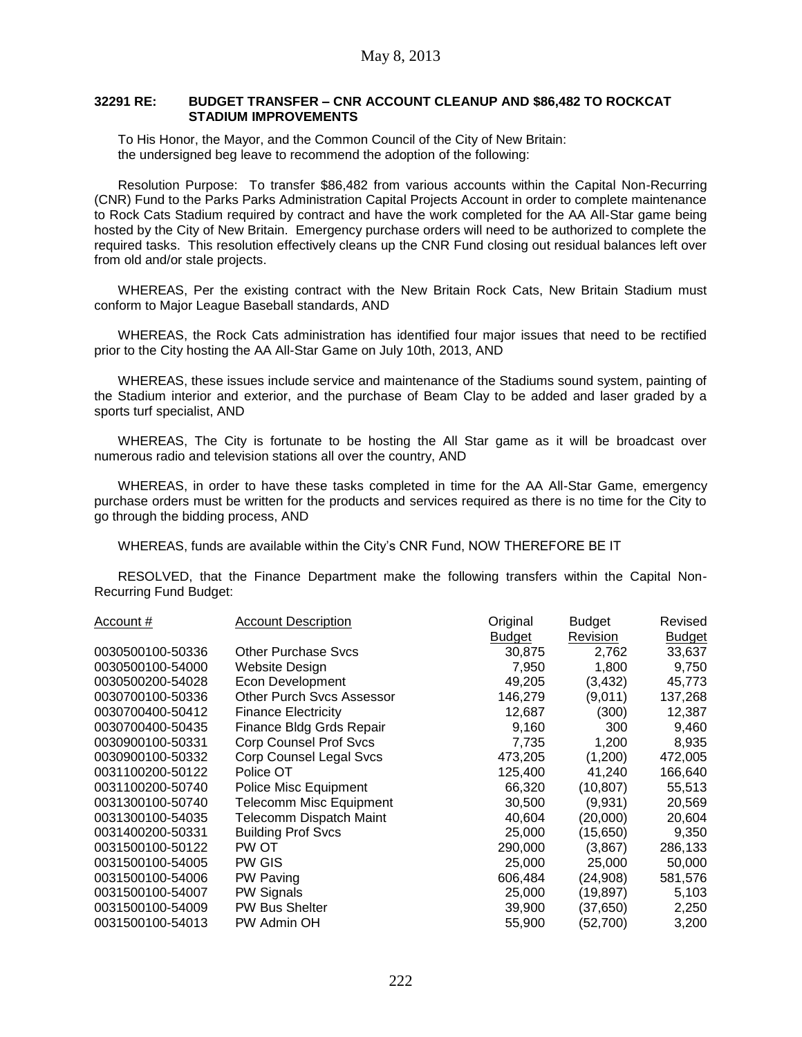#### **32291 RE: BUDGET TRANSFER – CNR ACCOUNT CLEANUP AND \$86,482 TO ROCKCAT STADIUM IMPROVEMENTS**

To His Honor, the Mayor, and the Common Council of the City of New Britain: the undersigned beg leave to recommend the adoption of the following:

Resolution Purpose: To transfer \$86,482 from various accounts within the Capital Non-Recurring (CNR) Fund to the Parks Parks Administration Capital Projects Account in order to complete maintenance to Rock Cats Stadium required by contract and have the work completed for the AA All-Star game being hosted by the City of New Britain. Emergency purchase orders will need to be authorized to complete the required tasks. This resolution effectively cleans up the CNR Fund closing out residual balances left over from old and/or stale projects.

WHEREAS, Per the existing contract with the New Britain Rock Cats, New Britain Stadium must conform to Major League Baseball standards, AND

WHEREAS, the Rock Cats administration has identified four major issues that need to be rectified prior to the City hosting the AA All-Star Game on July 10th, 2013, AND

WHEREAS, these issues include service and maintenance of the Stadiums sound system, painting of the Stadium interior and exterior, and the purchase of Beam Clay to be added and laser graded by a sports turf specialist, AND

WHEREAS, The City is fortunate to be hosting the All Star game as it will be broadcast over numerous radio and television stations all over the country, AND

WHEREAS, in order to have these tasks completed in time for the AA All-Star Game, emergency purchase orders must be written for the products and services required as there is no time for the City to go through the bidding process, AND

WHEREAS, funds are available within the City's CNR Fund, NOW THEREFORE BE IT

RESOLVED, that the Finance Department make the following transfers within the Capital Non-Recurring Fund Budget:

| Account #        | <b>Account Description</b>       | Original      | <b>Budget</b> | Revised       |
|------------------|----------------------------------|---------------|---------------|---------------|
|                  |                                  | <b>Budget</b> | Revision      | <b>Budget</b> |
| 0030500100-50336 | <b>Other Purchase Sycs</b>       | 30,875        | 2,762         | 33,637        |
| 0030500100-54000 | Website Design                   | 7,950         | 1,800         | 9,750         |
| 0030500200-54028 | <b>Econ Development</b>          | 49,205        | (3, 432)      | 45,773        |
| 0030700100-50336 | <b>Other Purch Svcs Assessor</b> | 146,279       | (9,011)       | 137,268       |
| 0030700400-50412 | <b>Finance Electricity</b>       | 12,687        | (300)         | 12,387        |
| 0030700400-50435 | Finance Bldg Grds Repair         | 9,160         | 300           | 9,460         |
| 0030900100-50331 | <b>Corp Counsel Prof Svcs</b>    | 7,735         | 1,200         | 8,935         |
| 0030900100-50332 | Corp Counsel Legal Svcs          | 473,205       | (1,200)       | 472,005       |
| 0031100200-50122 | Police OT                        | 125,400       | 41,240        | 166,640       |
| 0031100200-50740 | Police Misc Equipment            | 66,320        | (10,807)      | 55,513        |
| 0031300100-50740 | <b>Telecomm Misc Equipment</b>   | 30,500        | (9,931)       | 20,569        |
| 0031300100-54035 | Telecomm Dispatch Maint          | 40,604        | (20,000)      | 20,604        |
| 0031400200-50331 | <b>Building Prof Svcs</b>        | 25,000        | (15, 650)     | 9,350         |
| 0031500100-50122 | PW OT                            | 290,000       | (3,867)       | 286,133       |
| 0031500100-54005 | PW GIS                           | 25,000        | 25,000        | 50,000        |
| 0031500100-54006 | PW Paving                        | 606,484       | (24,908)      | 581,576       |
| 0031500100-54007 | PW Signals                       | 25,000        | (19,897)      | 5,103         |
| 0031500100-54009 | <b>PW Bus Shelter</b>            | 39,900        | (37, 650)     | 2,250         |
| 0031500100-54013 | PW Admin OH                      | 55,900        | (52,700)      | 3,200         |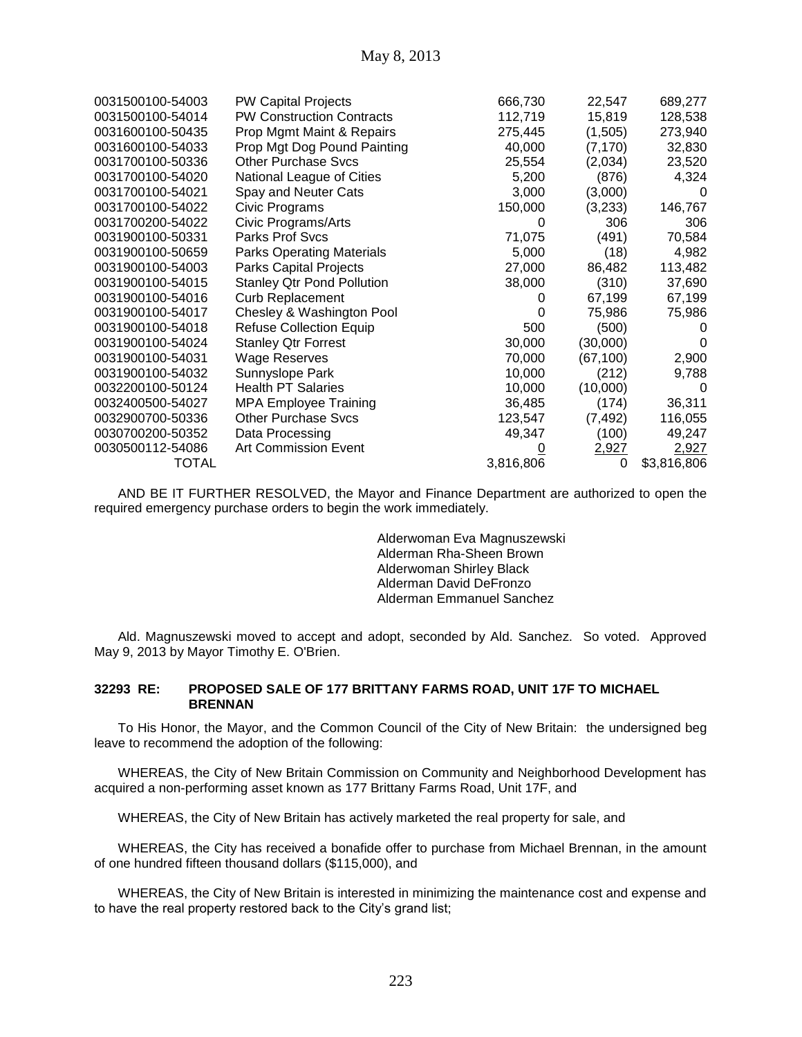| 0031500100-54003 | <b>PW Capital Projects</b>        | 666,730   | 22,547    | 689,277     |
|------------------|-----------------------------------|-----------|-----------|-------------|
| 0031500100-54014 | <b>PW Construction Contracts</b>  | 112,719   | 15,819    | 128,538     |
| 0031600100-50435 | Prop Mgmt Maint & Repairs         | 275,445   | (1,505)   | 273,940     |
| 0031600100-54033 | Prop Mgt Dog Pound Painting       | 40,000    | (7, 170)  | 32,830      |
| 0031700100-50336 | <b>Other Purchase Svcs</b>        | 25,554    | (2,034)   | 23,520      |
| 0031700100-54020 | National League of Cities         | 5,200     | (876)     | 4,324       |
| 0031700100-54021 | Spay and Neuter Cats              | 3,000     | (3,000)   | $\Omega$    |
| 0031700100-54022 | Civic Programs                    | 150,000   | (3,233)   | 146,767     |
| 0031700200-54022 | Civic Programs/Arts               | 0         | 306       | 306         |
| 0031900100-50331 | Parks Prof Svcs                   | 71,075    | (491)     | 70,584      |
| 0031900100-50659 | <b>Parks Operating Materials</b>  | 5,000     | (18)      | 4,982       |
| 0031900100-54003 | <b>Parks Capital Projects</b>     | 27,000    | 86,482    | 113,482     |
| 0031900100-54015 | <b>Stanley Qtr Pond Pollution</b> | 38,000    | (310)     | 37,690      |
| 0031900100-54016 | <b>Curb Replacement</b>           | 0         | 67,199    | 67,199      |
| 0031900100-54017 | Chesley & Washington Pool         | 0         | 75,986    | 75,986      |
| 0031900100-54018 | <b>Refuse Collection Equip</b>    | 500       | (500)     | $\Omega$    |
| 0031900100-54024 | <b>Stanley Qtr Forrest</b>        | 30,000    | (30,000)  | 0           |
| 0031900100-54031 | <b>Wage Reserves</b>              | 70,000    | (67, 100) | 2,900       |
| 0031900100-54032 | Sunnyslope Park                   | 10,000    | (212)     | 9,788       |
| 0032200100-50124 | <b>Health PT Salaries</b>         | 10,000    | (10,000)  | $\Omega$    |
| 0032400500-54027 | <b>MPA Employee Training</b>      | 36,485    | (174)     | 36,311      |
| 0032900700-50336 | <b>Other Purchase Svcs</b>        | 123,547   | (7, 492)  | 116,055     |
| 0030700200-50352 | Data Processing                   | 49,347    | (100)     | 49,247      |
| 0030500112-54086 | <b>Art Commission Event</b>       |           | 2,927     | 2,927       |
| TOTAL            |                                   | 3,816,806 | 0         | \$3,816,806 |

AND BE IT FURTHER RESOLVED, the Mayor and Finance Department are authorized to open the required emergency purchase orders to begin the work immediately.

> Alderwoman Eva Magnuszewski Alderman Rha-Sheen Brown Alderwoman Shirley Black Alderman David DeFronzo Alderman Emmanuel Sanchez

Ald. Magnuszewski moved to accept and adopt, seconded by Ald. Sanchez. So voted. Approved May 9, 2013 by Mayor Timothy E. O'Brien.

#### **32293 RE: PROPOSED SALE OF 177 BRITTANY FARMS ROAD, UNIT 17F TO MICHAEL BRENNAN**

To His Honor, the Mayor, and the Common Council of the City of New Britain: the undersigned beg leave to recommend the adoption of the following:

WHEREAS, the City of New Britain Commission on Community and Neighborhood Development has acquired a non-performing asset known as 177 Brittany Farms Road, Unit 17F, and

WHEREAS, the City of New Britain has actively marketed the real property for sale, and

WHEREAS, the City has received a bonafide offer to purchase from Michael Brennan, in the amount of one hundred fifteen thousand dollars (\$115,000), and

WHEREAS, the City of New Britain is interested in minimizing the maintenance cost and expense and to have the real property restored back to the City's grand list;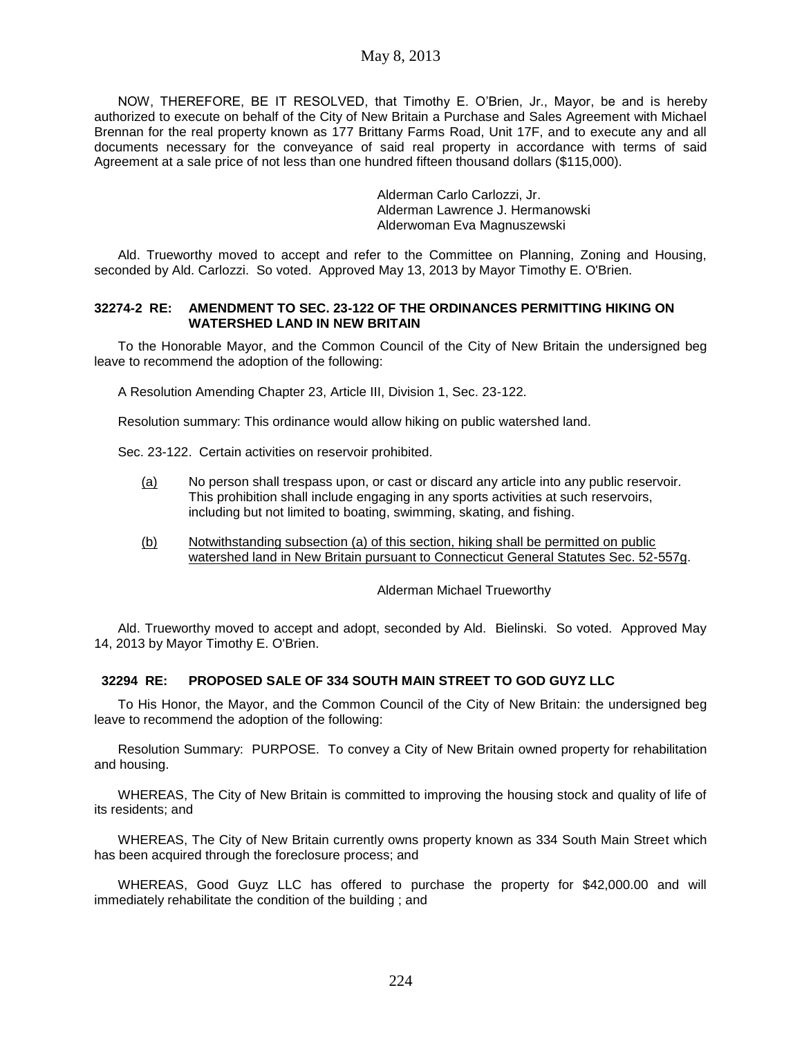NOW, THEREFORE, BE IT RESOLVED, that Timothy E. O'Brien, Jr., Mayor, be and is hereby authorized to execute on behalf of the City of New Britain a Purchase and Sales Agreement with Michael Brennan for the real property known as 177 Brittany Farms Road, Unit 17F, and to execute any and all documents necessary for the conveyance of said real property in accordance with terms of said Agreement at a sale price of not less than one hundred fifteen thousand dollars (\$115,000).

> Alderman Carlo Carlozzi, Jr. Alderman Lawrence J. Hermanowski Alderwoman Eva Magnuszewski

Ald. Trueworthy moved to accept and refer to the Committee on Planning, Zoning and Housing, seconded by Ald. Carlozzi. So voted. Approved May 13, 2013 by Mayor Timothy E. O'Brien.

#### **32274-2 RE: AMENDMENT TO SEC. 23-122 OF THE ORDINANCES PERMITTING HIKING ON WATERSHED LAND IN NEW BRITAIN**

To the Honorable Mayor, and the Common Council of the City of New Britain the undersigned beg leave to recommend the adoption of the following:

A Resolution Amending Chapter 23, Article III, Division 1, Sec. 23-122.

Resolution summary: This ordinance would allow hiking on public watershed land.

Sec. 23-122. Certain activities on reservoir prohibited.

- (a) No person shall trespass upon, or cast or discard any article into any public reservoir. This prohibition shall include engaging in any sports activities at such reservoirs, including but not limited to boating, swimming, skating, and fishing.
- (b) Notwithstanding subsection (a) of this section, hiking shall be permitted on public watershed land in New Britain pursuant to Connecticut General Statutes Sec. 52-557g.

#### Alderman Michael Trueworthy

Ald. Trueworthy moved to accept and adopt, seconded by Ald. Bielinski. So voted. Approved May 14, 2013 by Mayor Timothy E. O'Brien.

#### **32294 RE: PROPOSED SALE OF 334 SOUTH MAIN STREET TO GOD GUYZ LLC**

To His Honor, the Mayor, and the Common Council of the City of New Britain: the undersigned beg leave to recommend the adoption of the following:

Resolution Summary: PURPOSE. To convey a City of New Britain owned property for rehabilitation and housing.

WHEREAS, The City of New Britain is committed to improving the housing stock and quality of life of its residents; and

WHEREAS, The City of New Britain currently owns property known as 334 South Main Street which has been acquired through the foreclosure process; and

WHEREAS, Good Guyz LLC has offered to purchase the property for \$42,000.00 and will immediately rehabilitate the condition of the building ; and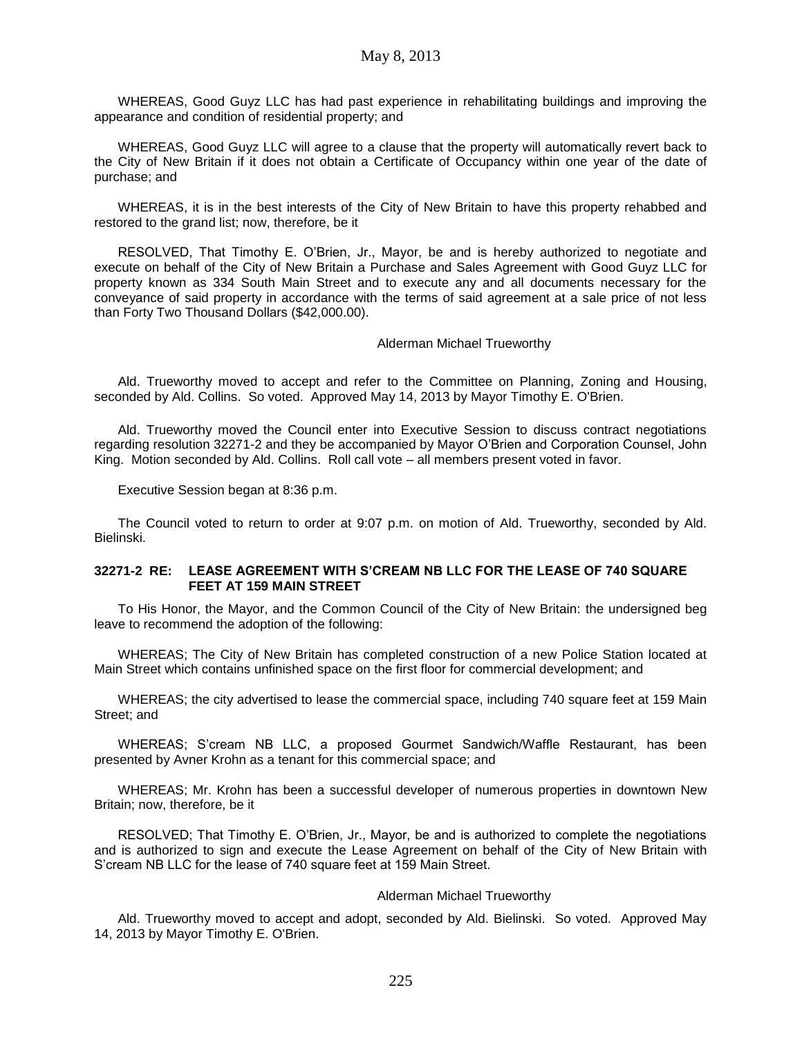May 8, 2013

WHEREAS, Good Guyz LLC has had past experience in rehabilitating buildings and improving the appearance and condition of residential property; and

WHEREAS, Good Guyz LLC will agree to a clause that the property will automatically revert back to the City of New Britain if it does not obtain a Certificate of Occupancy within one year of the date of purchase; and

WHEREAS, it is in the best interests of the City of New Britain to have this property rehabbed and restored to the grand list; now, therefore, be it

RESOLVED, That Timothy E. O'Brien, Jr., Mayor, be and is hereby authorized to negotiate and execute on behalf of the City of New Britain a Purchase and Sales Agreement with Good Guyz LLC for property known as 334 South Main Street and to execute any and all documents necessary for the conveyance of said property in accordance with the terms of said agreement at a sale price of not less than Forty Two Thousand Dollars (\$42,000.00).

Alderman Michael Trueworthy

Ald. Trueworthy moved to accept and refer to the Committee on Planning, Zoning and Housing, seconded by Ald. Collins. So voted. Approved May 14, 2013 by Mayor Timothy E. O'Brien.

Ald. Trueworthy moved the Council enter into Executive Session to discuss contract negotiations regarding resolution 32271-2 and they be accompanied by Mayor O'Brien and Corporation Counsel, John King. Motion seconded by Ald. Collins. Roll call vote – all members present voted in favor.

Executive Session began at 8:36 p.m.

The Council voted to return to order at 9:07 p.m. on motion of Ald. Trueworthy, seconded by Ald. Bielinski.

#### **32271-2 RE: LEASE AGREEMENT WITH S'CREAM NB LLC FOR THE LEASE OF 740 SQUARE FEET AT 159 MAIN STREET**

To His Honor, the Mayor, and the Common Council of the City of New Britain: the undersigned beg leave to recommend the adoption of the following:

WHEREAS; The City of New Britain has completed construction of a new Police Station located at Main Street which contains unfinished space on the first floor for commercial development; and

WHEREAS; the city advertised to lease the commercial space, including 740 square feet at 159 Main Street; and

WHEREAS; S'cream NB LLC, a proposed Gourmet Sandwich/Waffle Restaurant, has been presented by Avner Krohn as a tenant for this commercial space; and

WHEREAS; Mr. Krohn has been a successful developer of numerous properties in downtown New Britain; now, therefore, be it

RESOLVED; That Timothy E. O'Brien, Jr., Mayor, be and is authorized to complete the negotiations and is authorized to sign and execute the Lease Agreement on behalf of the City of New Britain with S'cream NB LLC for the lease of 740 square feet at 159 Main Street.

#### Alderman Michael Trueworthy

Ald. Trueworthy moved to accept and adopt, seconded by Ald. Bielinski. So voted. Approved May 14, 2013 by Mayor Timothy E. O'Brien.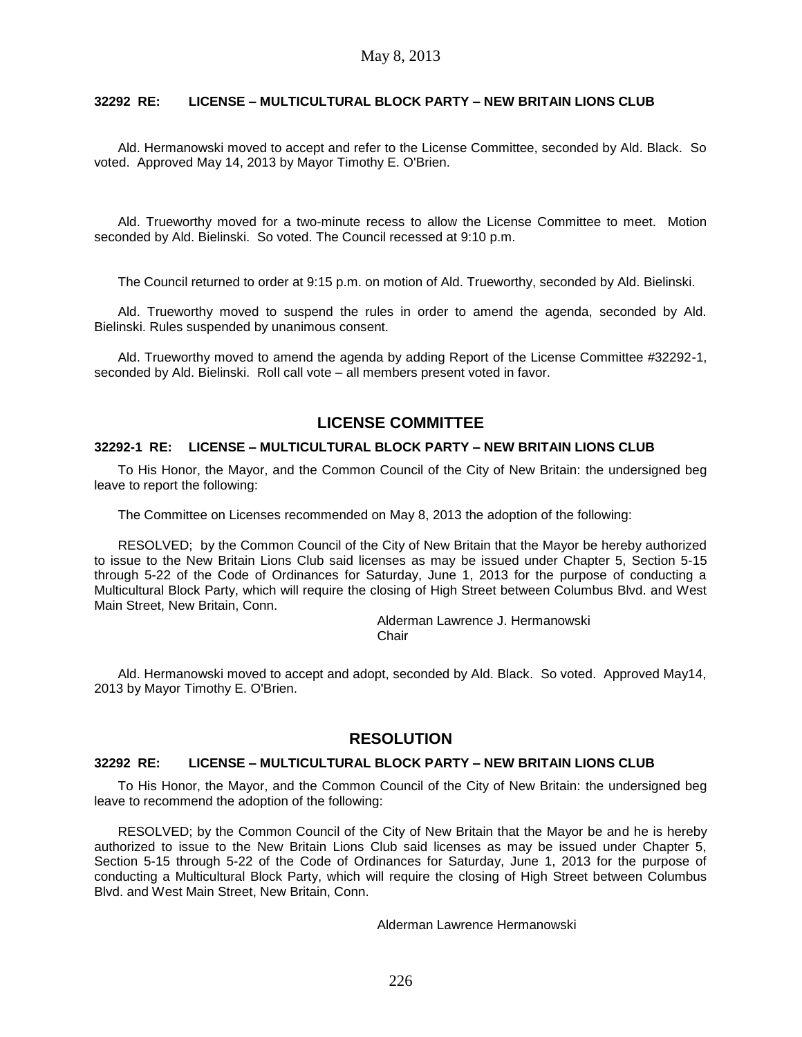### **32292 RE: LICENSE – MULTICULTURAL BLOCK PARTY – NEW BRITAIN LIONS CLUB**

Ald. Hermanowski moved to accept and refer to the License Committee, seconded by Ald. Black. So voted. Approved May 14, 2013 by Mayor Timothy E. O'Brien.

Ald. Trueworthy moved for a two-minute recess to allow the License Committee to meet. Motion seconded by Ald. Bielinski. So voted. The Council recessed at 9:10 p.m.

The Council returned to order at 9:15 p.m. on motion of Ald. Trueworthy, seconded by Ald. Bielinski.

Ald. Trueworthy moved to suspend the rules in order to amend the agenda, seconded by Ald. Bielinski. Rules suspended by unanimous consent.

Ald. Trueworthy moved to amend the agenda by adding Report of the License Committee #32292-1, seconded by Ald. Bielinski. Roll call vote – all members present voted in favor.

## **LICENSE COMMITTEE**

#### **32292-1 RE: LICENSE – MULTICULTURAL BLOCK PARTY – NEW BRITAIN LIONS CLUB**

To His Honor, the Mayor, and the Common Council of the City of New Britain: the undersigned beg leave to report the following:

The Committee on Licenses recommended on May 8, 2013 the adoption of the following:

RESOLVED; by the Common Council of the City of New Britain that the Mayor be hereby authorized to issue to the New Britain Lions Club said licenses as may be issued under Chapter 5, Section 5-15 through 5-22 of the Code of Ordinances for Saturday, June 1, 2013 for the purpose of conducting a Multicultural Block Party, which will require the closing of High Street between Columbus Blvd. and West Main Street, New Britain, Conn.

> Alderman Lawrence J. Hermanowski **Chair**

Ald. Hermanowski moved to accept and adopt, seconded by Ald. Black. So voted. Approved May14, 2013 by Mayor Timothy E. O'Brien.

## **RESOLUTION**

## **32292 RE: LICENSE – MULTICULTURAL BLOCK PARTY – NEW BRITAIN LIONS CLUB**

To His Honor, the Mayor, and the Common Council of the City of New Britain: the undersigned beg leave to recommend the adoption of the following:

RESOLVED; by the Common Council of the City of New Britain that the Mayor be and he is hereby authorized to issue to the New Britain Lions Club said licenses as may be issued under Chapter 5, Section 5-15 through 5-22 of the Code of Ordinances for Saturday, June 1, 2013 for the purpose of conducting a Multicultural Block Party, which will require the closing of High Street between Columbus Blvd. and West Main Street, New Britain, Conn.

Alderman Lawrence Hermanowski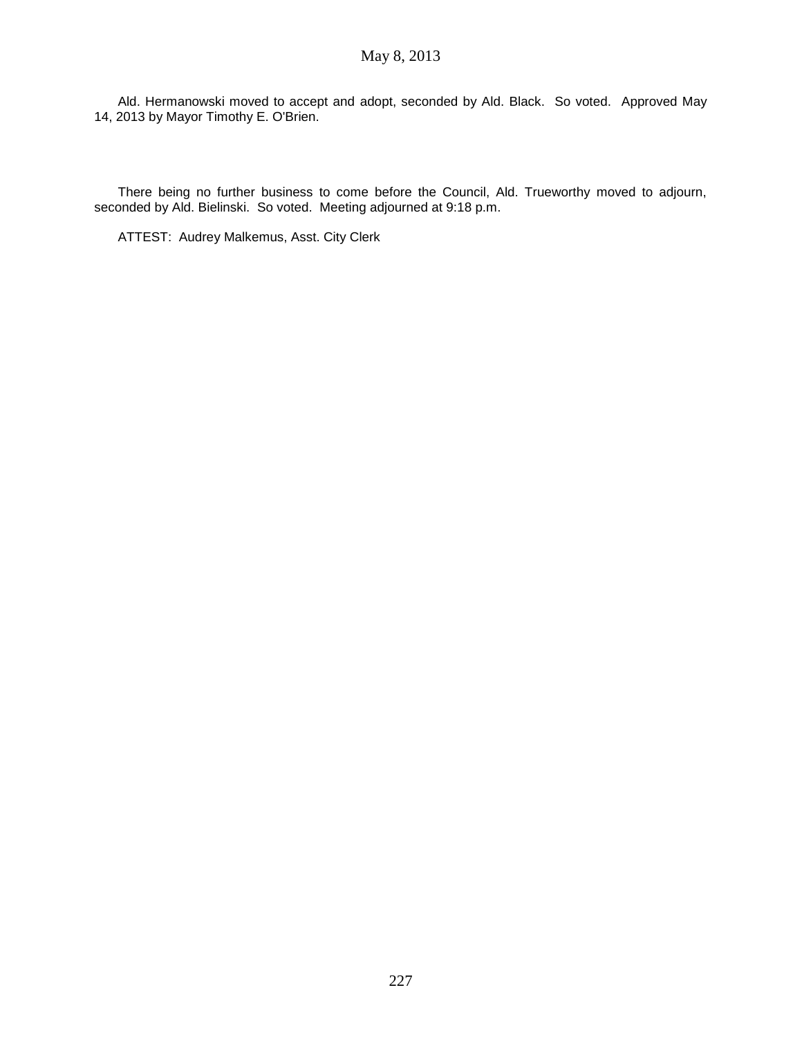Ald. Hermanowski moved to accept and adopt, seconded by Ald. Black. So voted. Approved May 14, 2013 by Mayor Timothy E. O'Brien.

There being no further business to come before the Council, Ald. Trueworthy moved to adjourn, seconded by Ald. Bielinski. So voted. Meeting adjourned at 9:18 p.m.

ATTEST: Audrey Malkemus, Asst. City Clerk